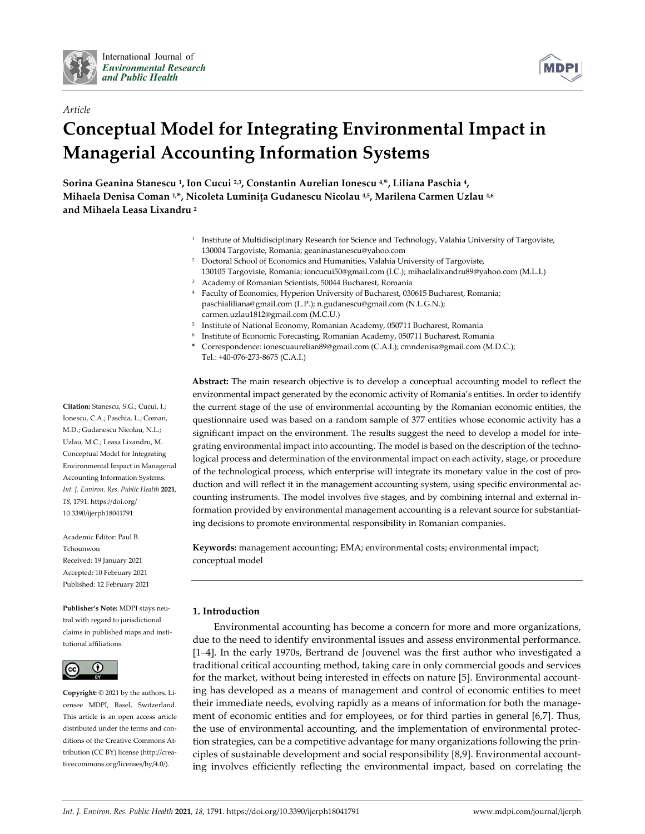

*Article*



# **Conceptual Model for Integrating Environmental Impact in Managerial Accounting Information Systems**

**Sorina Geanina Stanescu 1, Ion Cucui 2,3, Constantin Aurelian Ionescu 4, \*, Liliana Paschia 4, Mihaela Denisa Coman 1,\*, Nicoleta Luminiţa Gudanescu Nicolau 4,5, Marilena Carmen Uzlau 4,6 and Mihaela Leasa Lixandru 2**

- <sup>1</sup> Institute of Multidisciplinary Research for Science and Technology, Valahia University of Targoviste, 130004 Targoviste, Romania; geaninastanescu@yahoo.com
- <sup>2</sup> Doctoral School of Economics and Humanities, Valahia University of Targoviste, 130105 Targoviste, Romania; ioncucui50@gmail.com (I.C.); mihaelalixandru89@yahoo.com (M.L.L)
- <sup>3</sup> Academy of Romanian Scientists, 50044 Bucharest, Romania
- <sup>4</sup> Faculty of Economics, Hyperion University of Bucharest, 030615 Bucharest, Romania; paschialiliana@gmail.com (L.P.); n.gudanescu@gmail.com (N.L.G.N.); carmen.uzlau1812@gmail.com (M.C.U.)
- <sup>5</sup> Institute of National Economy, Romanian Academy, 050711 Bucharest, Romania
- <sup>6</sup> Institute of Economic Forecasting, Romanian Academy, 050711 Bucharest, Romania
- **\*** Correspondence: ionescuaurelian89@gmail.com (C.A.I.); cmndenisa@gmail.com (M.D.C.); Tel.: +40-076-273-8675 (C.A.I.)

**Abstract:** The main research objective is to develop a conceptual accounting model to reflect the environmental impact generated by the economic activity of Romania's entities. In order to identify the current stage of the use of environmental accounting by the Romanian economic entities, the questionnaire used was based on a random sample of 377 entities whose economic activity has a significant impact on the environment. The results suggest the need to develop a model for integrating environmental impact into accounting. The model is based on the description of the technological process and determination of the environmental impact on each activity, stage, or procedure of the technological process, which enterprise will integrate its monetary value in the cost of production and will reflect it in the management accounting system, using specific environmental accounting instruments. The model involves five stages, and by combining internal and external information provided by environmental management accounting is a relevant source for substantiating decisions to promote environmental responsibility in Romanian companies.

**Keywords:** management accounting; EMA; environmental costs; environmental impact; conceptual model

## **1. Introduction**

Environmental accounting has become a concern for more and more organizations, due to the need to identify environmental issues and assess environmental performance. [1–4]. In the early 1970s, Bertrand de Jouvenel was the first author who investigated a traditional critical accounting method, taking care in only commercial goods and services for the market, without being interested in effects on nature [5]. Environmental accounting has developed as a means of management and control of economic entities to meet their immediate needs, evolving rapidly as a means of information for both the management of economic entities and for employees, or for third parties in general [6,7]. Thus, the use of environmental accounting, and the implementation of environmental protection strategies, can be a competitive advantage for many organizations following the principles of sustainable development and social responsibility [8,9]. Environmental accounting involves efficiently reflecting the environmental impact, based on correlating the

**Citation:** Stanescu, S.G.; Cucui, I.; Ionescu, C.A.; Paschia, L.; Coman, M.D.; Gudanescu Nicolau, N.L.; Uzlau, M.C.; Leasa Lixandru, M. Conceptual Model for Integrating Environmental Impact in Managerial Accounting Information Systems. *Int. J. Environ. Res. Public Health* **2021**, *18*, 1791. https://doi.org/ 10.3390/ijerph18041791

Academic Editor: Paul B. Tchounwou Received: 19 January 2021 Accepted: 10 February 2021 Published: 12 February 2021

**Publisher's Note:** MDPI stays neutral with regard to jurisdictional claims in published maps and institutional affiliations.



**Copyright:** © 2021 by the authors. Licensee MDPI, Basel, Switzerland. This article is an open access article distributed under the terms and conditions of the Creative Commons Attribution (CC BY) license (http://creativecommons.org/licenses/by/4.0/).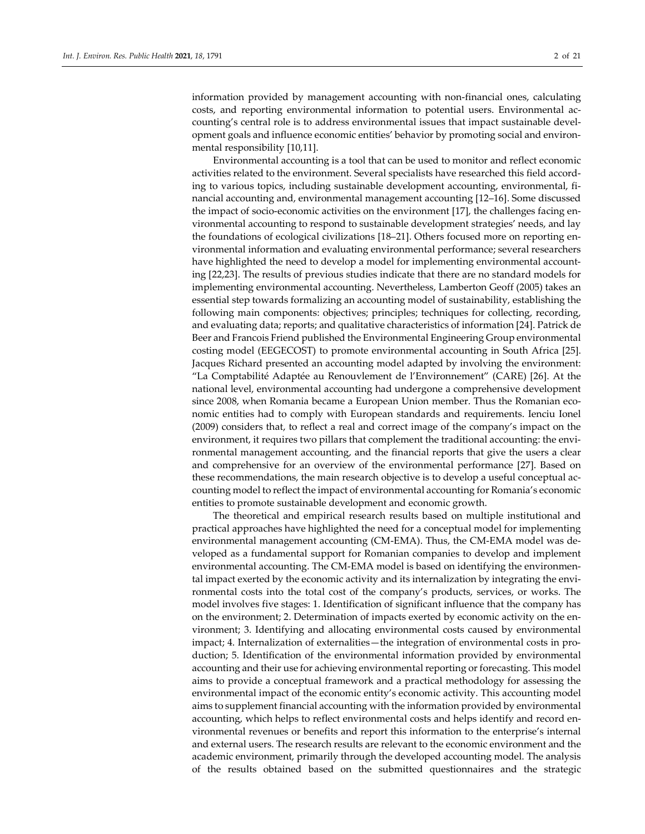information provided by management accounting with non-financial ones, calculating costs, and reporting environmental information to potential users. Environmental accounting's central role is to address environmental issues that impact sustainable development goals and influence economic entities' behavior by promoting social and environmental responsibility [10,11].

Environmental accounting is a tool that can be used to monitor and reflect economic activities related to the environment. Several specialists have researched this field according to various topics, including sustainable development accounting, environmental, financial accounting and, environmental management accounting [12–16]. Some discussed the impact of socio-economic activities on the environment [17], the challenges facing environmental accounting to respond to sustainable development strategies' needs, and lay the foundations of ecological civilizations [18–21]. Others focused more on reporting environmental information and evaluating environmental performance; several researchers have highlighted the need to develop a model for implementing environmental accounting [22,23]. The results of previous studies indicate that there are no standard models for implementing environmental accounting. Nevertheless, Lamberton Geoff (2005) takes an essential step towards formalizing an accounting model of sustainability, establishing the following main components: objectives; principles; techniques for collecting, recording, and evaluating data; reports; and qualitative characteristics of information [24]. Patrick de Beer and Francois Friend published the Environmental Engineering Group environmental costing model (EEGECOST) to promote environmental accounting in South Africa [25]. Jacques Richard presented an accounting model adapted by involving the environment: "La Comptabilité Adaptée au Renouvlement de l'Environnement" (CARE) [26]. At the national level, environmental accounting had undergone a comprehensive development since 2008, when Romania became a European Union member. Thus the Romanian economic entities had to comply with European standards and requirements. Ienciu Ionel (2009) considers that, to reflect a real and correct image of the company's impact on the environment, it requires two pillars that complement the traditional accounting: the environmental management accounting, and the financial reports that give the users a clear and comprehensive for an overview of the environmental performance [27]. Based on these recommendations, the main research objective is to develop a useful conceptual accounting model to reflect the impact of environmental accounting for Romania's economic entities to promote sustainable development and economic growth.

The theoretical and empirical research results based on multiple institutional and practical approaches have highlighted the need for a conceptual model for implementing environmental management accounting (CM-EMA). Thus, the CM-EMA model was developed as a fundamental support for Romanian companies to develop and implement environmental accounting. The CM-EMA model is based on identifying the environmental impact exerted by the economic activity and its internalization by integrating the environmental costs into the total cost of the company's products, services, or works. The model involves five stages: 1. Identification of significant influence that the company has on the environment; 2. Determination of impacts exerted by economic activity on the environment; 3. Identifying and allocating environmental costs caused by environmental impact; 4. Internalization of externalities—the integration of environmental costs in production; 5. Identification of the environmental information provided by environmental accounting and their use for achieving environmental reporting or forecasting. This model aims to provide a conceptual framework and a practical methodology for assessing the environmental impact of the economic entity's economic activity. This accounting model aims to supplement financial accounting with the information provided by environmental accounting, which helps to reflect environmental costs and helps identify and record environmental revenues or benefits and report this information to the enterprise's internal and external users. The research results are relevant to the economic environment and the academic environment, primarily through the developed accounting model. The analysis of the results obtained based on the submitted questionnaires and the strategic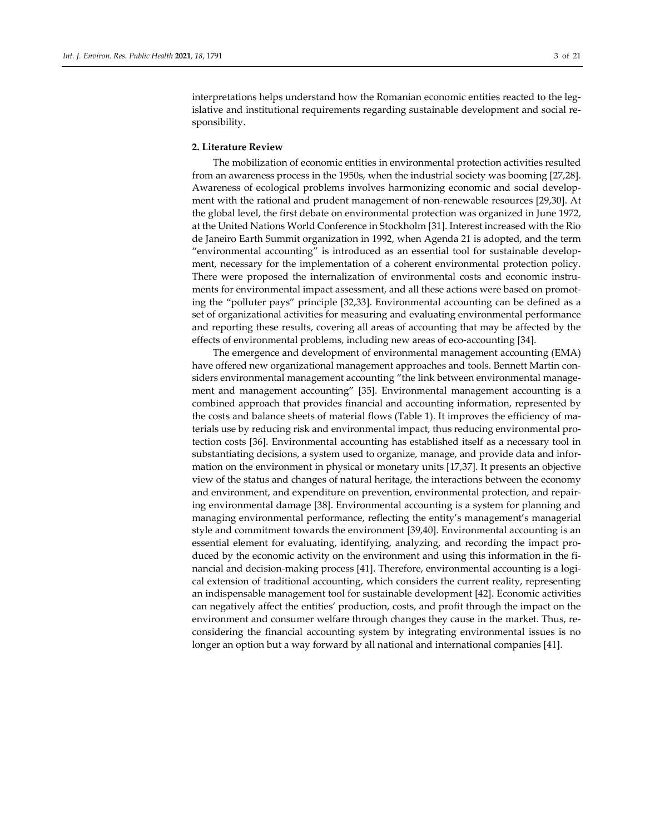interpretations helps understand how the Romanian economic entities reacted to the legislative and institutional requirements regarding sustainable development and social responsibility.

#### **2. Literature Review**

The mobilization of economic entities in environmental protection activities resulted from an awareness process in the 1950s, when the industrial society was booming [27,28]. Awareness of ecological problems involves harmonizing economic and social development with the rational and prudent management of non-renewable resources [29,30]. At the global level, the first debate on environmental protection was organized in June 1972, at the United Nations World Conference in Stockholm [31]. Interest increased with the Rio de Janeiro Earth Summit organization in 1992, when Agenda 21 is adopted, and the term "environmental accounting" is introduced as an essential tool for sustainable development, necessary for the implementation of a coherent environmental protection policy. There were proposed the internalization of environmental costs and economic instruments for environmental impact assessment, and all these actions were based on promoting the "polluter pays" principle [32,33]. Environmental accounting can be defined as a set of organizational activities for measuring and evaluating environmental performance and reporting these results, covering all areas of accounting that may be affected by the effects of environmental problems, including new areas of eco-accounting [34].

The emergence and development of environmental management accounting (EMA) have offered new organizational management approaches and tools. Bennett Martin considers environmental management accounting "the link between environmental management and management accounting" [35]. Environmental management accounting is a combined approach that provides financial and accounting information, represented by the costs and balance sheets of material flows (Table 1). It improves the efficiency of materials use by reducing risk and environmental impact, thus reducing environmental protection costs [36]. Environmental accounting has established itself as a necessary tool in substantiating decisions, a system used to organize, manage, and provide data and information on the environment in physical or monetary units [17,37]. It presents an objective view of the status and changes of natural heritage, the interactions between the economy and environment, and expenditure on prevention, environmental protection, and repairing environmental damage [38]. Environmental accounting is a system for planning and managing environmental performance, reflecting the entity's management's managerial style and commitment towards the environment [39,40]. Environmental accounting is an essential element for evaluating, identifying, analyzing, and recording the impact produced by the economic activity on the environment and using this information in the financial and decision-making process [41]. Therefore, environmental accounting is a logical extension of traditional accounting, which considers the current reality, representing an indispensable management tool for sustainable development [42]. Economic activities can negatively affect the entities' production, costs, and profit through the impact on the environment and consumer welfare through changes they cause in the market. Thus, reconsidering the financial accounting system by integrating environmental issues is no longer an option but a way forward by all national and international companies [41].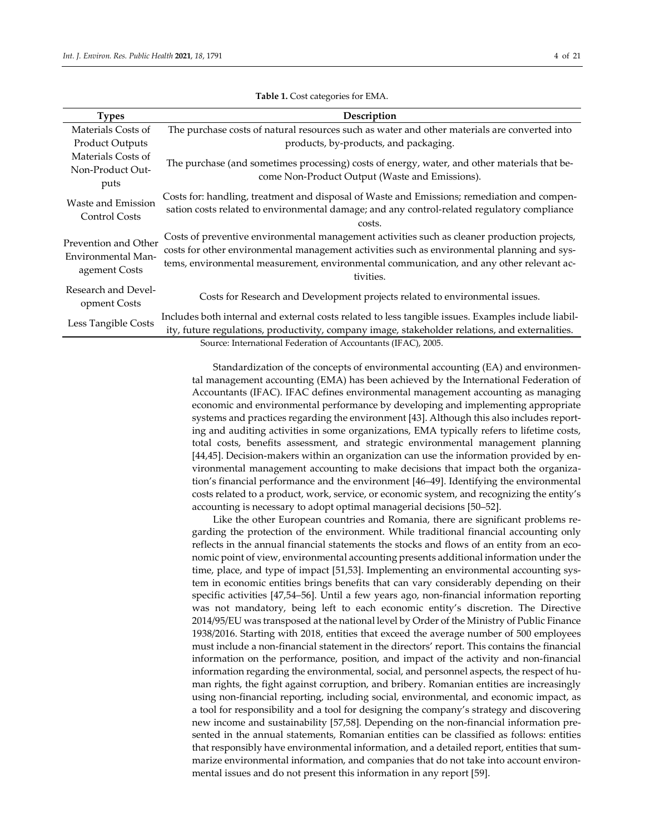| <b>Types</b>                                                | Description                                                                                                                                                                                                                                                                                          |
|-------------------------------------------------------------|------------------------------------------------------------------------------------------------------------------------------------------------------------------------------------------------------------------------------------------------------------------------------------------------------|
| Materials Costs of                                          | The purchase costs of natural resources such as water and other materials are converted into                                                                                                                                                                                                         |
| <b>Product Outputs</b>                                      | products, by-products, and packaging.                                                                                                                                                                                                                                                                |
| Materials Costs of                                          |                                                                                                                                                                                                                                                                                                      |
| Non-Product Out-                                            | The purchase (and sometimes processing) costs of energy, water, and other materials that be-                                                                                                                                                                                                         |
| puts                                                        | come Non-Product Output (Waste and Emissions).                                                                                                                                                                                                                                                       |
| Waste and Emission<br>Control Costs                         | Costs for: handling, treatment and disposal of Waste and Emissions; remediation and compen-<br>sation costs related to environmental damage; and any control-related regulatory compliance<br>costs.                                                                                                 |
| Prevention and Other<br>Environmental Man-<br>agement Costs | Costs of preventive environmental management activities such as cleaner production projects,<br>costs for other environmental management activities such as environmental planning and sys-<br>tems, environmental measurement, environmental communication, and any other relevant ac-<br>tivities. |
| Research and Devel-<br>opment Costs                         | Costs for Research and Development projects related to environmental issues.                                                                                                                                                                                                                         |
| Less Tangible Costs                                         | Includes both internal and external costs related to less tangible issues. Examples include liabil-<br>ity, future regulations, productivity, company image, stakeholder relations, and externalities.                                                                                               |
|                                                             | Source: International Federation of Accountants (IFAC), 2005.                                                                                                                                                                                                                                        |

**Table 1.** Cost categories for EMA.

Standardization of the concepts of environmental accounting (EA) and environmental management accounting (EMA) has been achieved by the International Federation of Accountants (IFAC). IFAC defines environmental management accounting as managing economic and environmental performance by developing and implementing appropriate systems and practices regarding the environment [43]. Although this also includes reporting and auditing activities in some organizations, EMA typically refers to lifetime costs, total costs, benefits assessment, and strategic environmental management planning [44,45]. Decision-makers within an organization can use the information provided by environmental management accounting to make decisions that impact both the organization's financial performance and the environment [46–49]. Identifying the environmental costs related to a product, work, service, or economic system, and recognizing the entity's accounting is necessary to adopt optimal managerial decisions [50–52].

Like the other European countries and Romania, there are significant problems regarding the protection of the environment. While traditional financial accounting only reflects in the annual financial statements the stocks and flows of an entity from an economic point of view, environmental accounting presents additional information under the time, place, and type of impact [51,53]. Implementing an environmental accounting system in economic entities brings benefits that can vary considerably depending on their specific activities [47,54–56]. Until a few years ago, non-financial information reporting was not mandatory, being left to each economic entity's discretion. The Directive 2014/95/EU was transposed at the national level by Order of the Ministry of Public Finance 1938/2016. Starting with 2018, entities that exceed the average number of 500 employees must include a non-financial statement in the directors' report. This contains the financial information on the performance, position, and impact of the activity and non-financial information regarding the environmental, social, and personnel aspects, the respect of human rights, the fight against corruption, and bribery. Romanian entities are increasingly using non-financial reporting, including social, environmental, and economic impact, as a tool for responsibility and a tool for designing the company's strategy and discovering new income and sustainability [57,58]. Depending on the non-financial information presented in the annual statements, Romanian entities can be classified as follows: entities that responsibly have environmental information, and a detailed report, entities that summarize environmental information, and companies that do not take into account environmental issues and do not present this information in any report [59].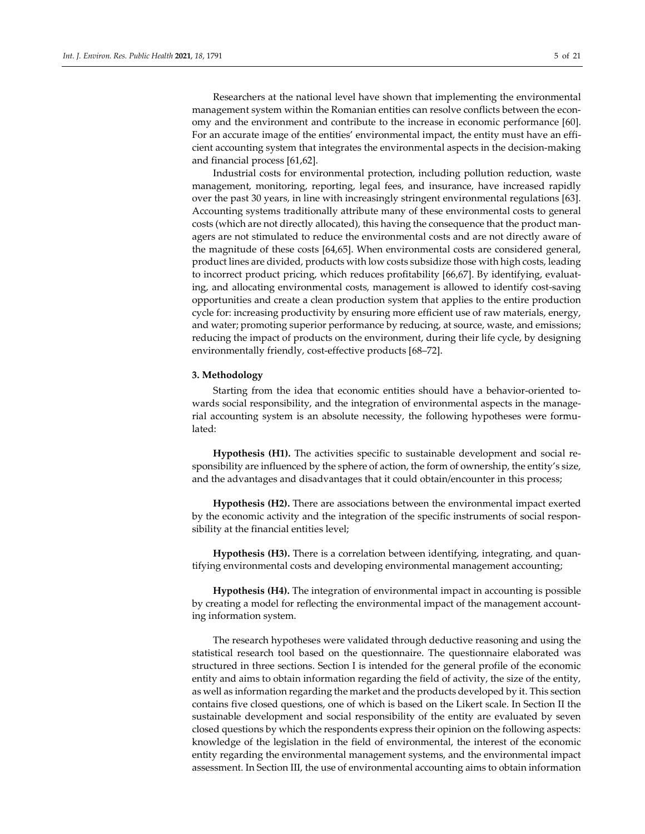Researchers at the national level have shown that implementing the environmental management system within the Romanian entities can resolve conflicts between the economy and the environment and contribute to the increase in economic performance [60]. For an accurate image of the entities' environmental impact, the entity must have an efficient accounting system that integrates the environmental aspects in the decision-making and financial process [61,62].

Industrial costs for environmental protection, including pollution reduction, waste management, monitoring, reporting, legal fees, and insurance, have increased rapidly over the past 30 years, in line with increasingly stringent environmental regulations [63]. Accounting systems traditionally attribute many of these environmental costs to general costs (which are not directly allocated), this having the consequence that the product managers are not stimulated to reduce the environmental costs and are not directly aware of the magnitude of these costs [64,65]. When environmental costs are considered general, product lines are divided, products with low costs subsidize those with high costs, leading to incorrect product pricing, which reduces profitability [66,67]. By identifying, evaluating, and allocating environmental costs, management is allowed to identify cost-saving opportunities and create a clean production system that applies to the entire production cycle for: increasing productivity by ensuring more efficient use of raw materials, energy, and water; promoting superior performance by reducing, at source, waste, and emissions; reducing the impact of products on the environment, during their life cycle, by designing environmentally friendly, cost-effective products [68–72].

#### **3. Methodology**

Starting from the idea that economic entities should have a behavior-oriented towards social responsibility, and the integration of environmental aspects in the managerial accounting system is an absolute necessity, the following hypotheses were formulated:

**Hypothesis (H1).** The activities specific to sustainable development and social responsibility are influenced by the sphere of action, the form of ownership, the entity's size, and the advantages and disadvantages that it could obtain/encounter in this process;

**Hypothesis (H2).** There are associations between the environmental impact exerted by the economic activity and the integration of the specific instruments of social responsibility at the financial entities level;

**Hypothesis (H3).** There is a correlation between identifying, integrating, and quantifying environmental costs and developing environmental management accounting;

**Hypothesis (H4).** The integration of environmental impact in accounting is possible by creating a model for reflecting the environmental impact of the management accounting information system.

The research hypotheses were validated through deductive reasoning and using the statistical research tool based on the questionnaire. The questionnaire elaborated was structured in three sections. Section I is intended for the general profile of the economic entity and aims to obtain information regarding the field of activity, the size of the entity, as well as information regarding the market and the products developed by it. This section contains five closed questions, one of which is based on the Likert scale. In Section II the sustainable development and social responsibility of the entity are evaluated by seven closed questions by which the respondents express their opinion on the following aspects: knowledge of the legislation in the field of environmental, the interest of the economic entity regarding the environmental management systems, and the environmental impact assessment. In Section III, the use of environmental accounting aims to obtain information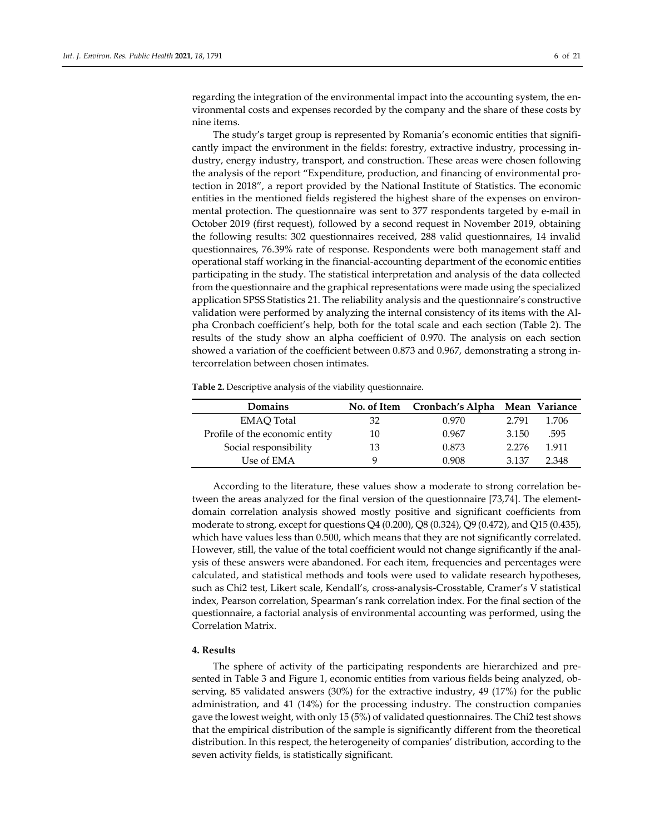regarding the integration of the environmental impact into the accounting system, the environmental costs and expenses recorded by the company and the share of these costs by nine items.

The study's target group is represented by Romania's economic entities that significantly impact the environment in the fields: forestry, extractive industry, processing industry, energy industry, transport, and construction. These areas were chosen following the analysis of the report "Expenditure, production, and financing of environmental protection in 2018", a report provided by the National Institute of Statistics. The economic entities in the mentioned fields registered the highest share of the expenses on environmental protection. The questionnaire was sent to 377 respondents targeted by e-mail in October 2019 (first request), followed by a second request in November 2019, obtaining the following results: 302 questionnaires received, 288 valid questionnaires, 14 invalid questionnaires, 76.39% rate of response. Respondents were both management staff and operational staff working in the financial-accounting department of the economic entities participating in the study. The statistical interpretation and analysis of the data collected from the questionnaire and the graphical representations were made using the specialized application SPSS Statistics 21. The reliability analysis and the questionnaire's constructive validation were performed by analyzing the internal consistency of its items with the Alpha Cronbach coefficient's help, both for the total scale and each section (Table 2). The results of the study show an alpha coefficient of 0.970. The analysis on each section showed a variation of the coefficient between 0.873 and 0.967, demonstrating a strong intercorrelation between chosen intimates.

**Table 2.** Descriptive analysis of the viability questionnaire.

| Domains                        | No. of Item | Cronbach's Alpha Mean Variance |         |       |
|--------------------------------|-------------|--------------------------------|---------|-------|
| <b>EMAO</b> Total              | 32          | 0.970                          | 2.791   | 1.706 |
| Profile of the economic entity | 10          | 0.967                          | 3.150   | .595  |
| Social responsibility          | 13          | 0.873                          | 2.276   | 1.911 |
| Use of EMA                     |             | 0.908                          | 3 1 3 7 | 2.348 |

According to the literature, these values show a moderate to strong correlation between the areas analyzed for the final version of the questionnaire [73,74]. The elementdomain correlation analysis showed mostly positive and significant coefficients from moderate to strong, except for questions Q4 (0.200), Q8 (0.324), Q9 (0.472), and Q15 (0.435), which have values less than 0.500, which means that they are not significantly correlated. However, still, the value of the total coefficient would not change significantly if the analysis of these answers were abandoned. For each item, frequencies and percentages were calculated, and statistical methods and tools were used to validate research hypotheses, such as Chi2 test, Likert scale, Kendall's, cross-analysis-Crosstable, Cramer's V statistical index, Pearson correlation, Spearman's rank correlation index. For the final section of the questionnaire, a factorial analysis of environmental accounting was performed, using the Correlation Matrix.

### **4. Results**

The sphere of activity of the participating respondents are hierarchized and presented in Table 3 and Figure 1, economic entities from various fields being analyzed, observing, 85 validated answers (30%) for the extractive industry, 49 (17%) for the public administration, and 41 (14%) for the processing industry. The construction companies gave the lowest weight, with only 15 (5%) of validated questionnaires. The Chi2 test shows that the empirical distribution of the sample is significantly different from the theoretical distribution. In this respect, the heterogeneity of companies' distribution, according to the seven activity fields, is statistically significant.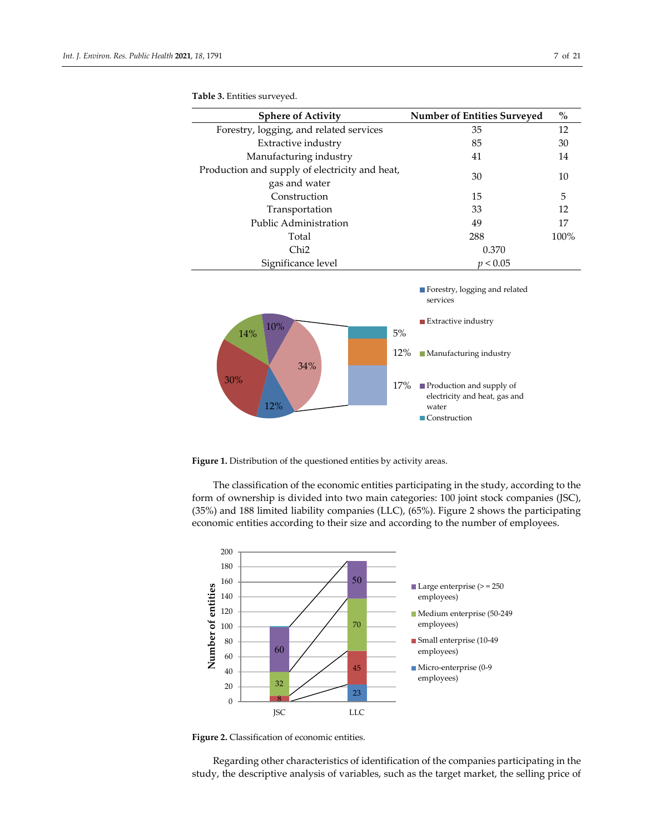| <b>Sphere of Activity</b>                                       | <b>Number of Entities Surveyed</b> | $\%$ |
|-----------------------------------------------------------------|------------------------------------|------|
| Forestry, logging, and related services                         | 35                                 | 12   |
| Extractive industry                                             | 85                                 | 30   |
| Manufacturing industry                                          | 41                                 | 14   |
| Production and supply of electricity and heat,<br>gas and water | 30                                 | 10   |
| Construction                                                    | 15                                 | 5    |
| Transportation                                                  | 33                                 | 12   |
| Public Administration                                           | 49                                 | 17   |
| Total                                                           | 288                                | 100% |
| Chi <sub>2</sub>                                                | 0.370                              |      |
| Significance level                                              | p < 0.05                           |      |





Figure 1. Distribution of the questioned entities by activity areas.

The classification of the economic entities participating in the study, according to the form of ownership is divided into two main categories: 100 joint stock companies (JSC), (35%) and 188 limited liability companies (LLC), (65%). Figure 2 shows the participating economic entities according to their size and according to the number of employees.



**Figure 2.** Classification of economic entities.

Regarding other characteristics of identification of the companies participating in the study, the descriptive analysis of variables, such as the target market, the selling price of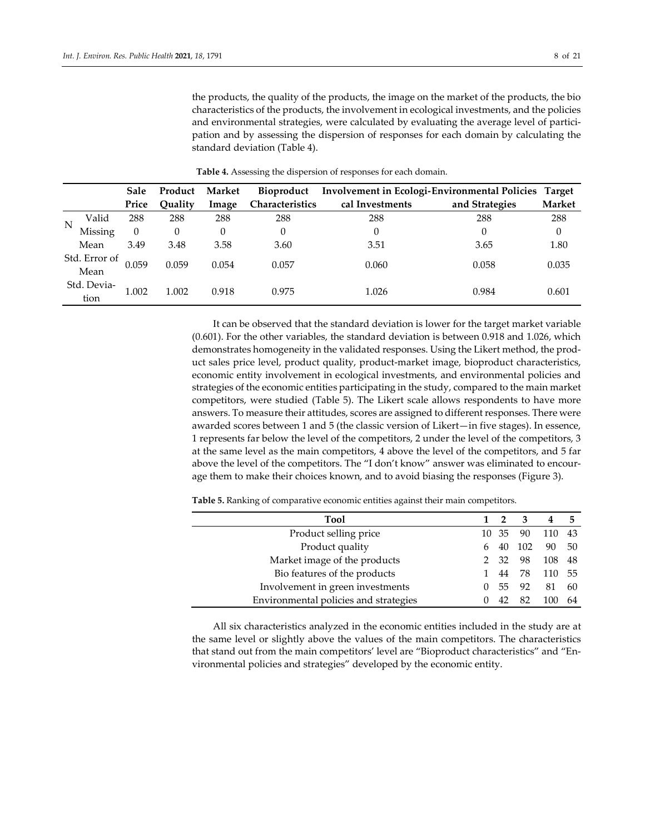the products, the quality of the products, the image on the market of the products, the bio characteristics of the products, the involvement in ecological investments, and the policies and environmental strategies, were calculated by evaluating the average level of participation and by assessing the dispersion of responses for each domain by calculating the standard deviation (Table 4).

|   |                       | <b>Sale</b> | Product | Market | Bioproduct             | Involvement in Ecologi-Environmental Policies Target |                |               |
|---|-----------------------|-------------|---------|--------|------------------------|------------------------------------------------------|----------------|---------------|
|   |                       | Price       | Ouality | Image  | <b>Characteristics</b> | cal Investments                                      | and Strategies | <b>Market</b> |
| N | Valid                 | 288         | 288     | 288    | 288                    | 288                                                  | 288            | 288           |
|   | Missing               | $\theta$    | 0       | 0      | $\Omega$               | 0                                                    |                | 0             |
|   | Mean                  | 3.49        | 3.48    | 3.58   | 3.60                   | 3.51                                                 | 3.65           | 1.80          |
|   | Std. Error of<br>Mean | 0.059       | 0.059   | 0.054  | 0.057                  | 0.060                                                | 0.058          | 0.035         |
|   | Std. Devia-<br>tion   | 1.002       | 1.002   | 0.918  | 0.975                  | 1.026                                                | 0.984          | 0.601         |

**Table 4.** Assessing the dispersion of responses for each domain.

It can be observed that the standard deviation is lower for the target market variable (0.601). For the other variables, the standard deviation is between 0.918 and 1.026, which demonstrates homogeneity in the validated responses. Using the Likert method, the product sales price level, product quality, product-market image, bioproduct characteristics, economic entity involvement in ecological investments, and environmental policies and strategies of the economic entities participating in the study, compared to the main market competitors, were studied (Table 5). The Likert scale allows respondents to have more answers. To measure their attitudes, scores are assigned to different responses. There were awarded scores between 1 and 5 (the classic version of Likert—in five stages). In essence, 1 represents far below the level of the competitors, 2 under the level of the competitors, 3 at the same level as the main competitors, 4 above the level of the competitors, and 5 far above the level of the competitors. The "I don't know" answer was eliminated to encourage them to make their choices known, and to avoid biasing the responses (Figure 3).

**Table 5.** Ranking of comparative economic entities against their main competitors.

| Tool                                  |    | $\overline{2}$ | 3   | 4      | 5  |
|---------------------------------------|----|----------------|-----|--------|----|
| Product selling price                 |    | 10 35          | 90  | 110 43 |    |
| Product quality                       | 6. | 40             | 102 | 90 50  |    |
| Market image of the products          |    | 2 32           | 98  | 108 48 |    |
| Bio features of the products          |    | 44             | 78  | 110 55 |    |
| Involvement in green investments      |    | 55.            | 92  | 81     | 60 |
| Environmental policies and strategies |    | 42             | 82  |        | 64 |

All six characteristics analyzed in the economic entities included in the study are at the same level or slightly above the values of the main competitors. The characteristics that stand out from the main competitors' level are "Bioproduct characteristics" and "Environmental policies and strategies" developed by the economic entity.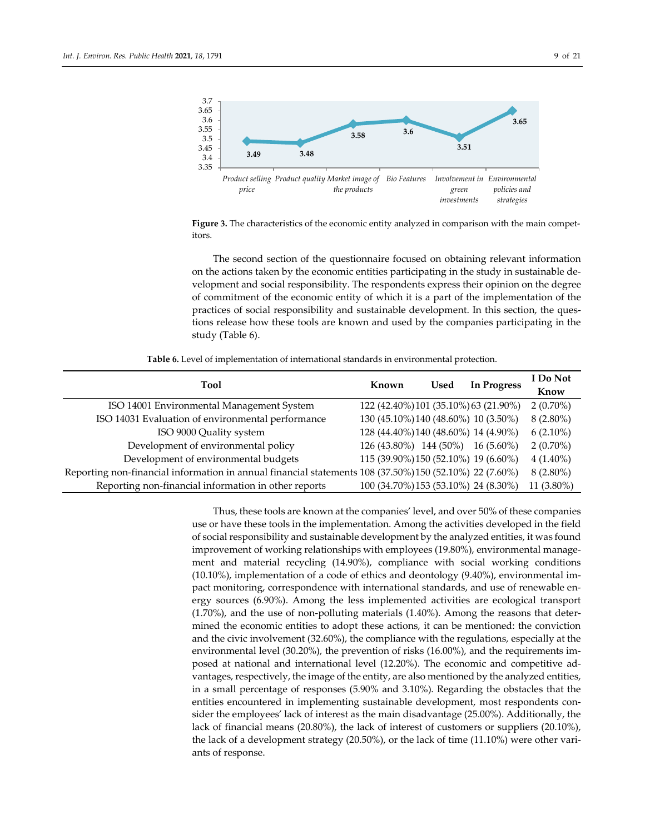

**Figure 3.** The characteristics of the economic entity analyzed in comparison with the main competitors.

The second section of the questionnaire focused on obtaining relevant information on the actions taken by the economic entities participating in the study in sustainable development and social responsibility. The respondents express their opinion on the degree of commitment of the economic entity of which it is a part of the implementation of the practices of social responsibility and sustainable development. In this section, the questions release how these tools are known and used by the companies participating in the study (Table 6).

**Table 6.** Level of implementation of international standards in environmental protection.

| <b>Tool</b>                                                                                             | Known                                 | Used | <b>In Progress</b> | I Do Not    |
|---------------------------------------------------------------------------------------------------------|---------------------------------------|------|--------------------|-------------|
|                                                                                                         |                                       |      |                    | Know        |
| ISO 14001 Environmental Management System                                                               | 122 (42.40%) 101 (35.10%) 63 (21.90%) |      |                    | $2(0.70\%)$ |
| ISO 14031 Evaluation of environmental performance                                                       | 130 (45.10%) 140 (48.60%) 10 (3.50%)  |      |                    | $8(2.80\%)$ |
| ISO 9000 Quality system                                                                                 | 128 (44.40%) 140 (48.60%) 14 (4.90%)  |      |                    | $6(2.10\%)$ |
| Development of environmental policy                                                                     | 126 (43.80%) 144 (50%)                |      | $16(5.60\%)$       | $2(0.70\%)$ |
| Development of environmental budgets                                                                    | 115 (39.90%) 150 (52.10%) 19 (6.60%)  |      |                    | $4(1.40\%)$ |
| Reporting non-financial information in annual financial statements 108 (37.50%) 150 (52.10%) 22 (7.60%) |                                       |      |                    | $8(2.80\%)$ |
| Reporting non-financial information in other reports                                                    | 100 (34.70%) 153 (53.10%) 24 (8.30%)  |      |                    | 11 (3.80%)  |

Thus, these tools are known at the companies' level, and over 50% of these companies use or have these tools in the implementation. Among the activities developed in the field of social responsibility and sustainable development by the analyzed entities, it was found improvement of working relationships with employees (19.80%), environmental management and material recycling (14.90%), compliance with social working conditions (10.10%), implementation of a code of ethics and deontology (9.40%), environmental impact monitoring, correspondence with international standards, and use of renewable energy sources (6.90%). Among the less implemented activities are ecological transport (1.70%), and the use of non-polluting materials (1.40%). Among the reasons that determined the economic entities to adopt these actions, it can be mentioned: the conviction and the civic involvement (32.60%), the compliance with the regulations, especially at the environmental level (30.20%), the prevention of risks (16.00%), and the requirements imposed at national and international level (12.20%). The economic and competitive advantages, respectively, the image of the entity, are also mentioned by the analyzed entities, in a small percentage of responses (5.90% and 3.10%). Regarding the obstacles that the entities encountered in implementing sustainable development, most respondents consider the employees' lack of interest as the main disadvantage (25.00%). Additionally, the lack of financial means (20.80%), the lack of interest of customers or suppliers (20.10%), the lack of a development strategy (20.50%), or the lack of time (11.10%) were other variants of response.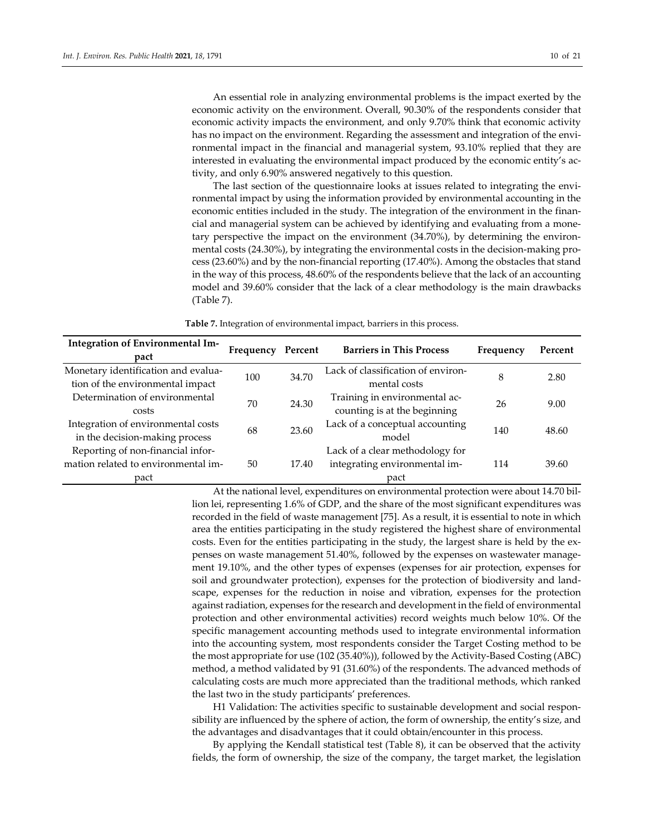An essential role in analyzing environmental problems is the impact exerted by the economic activity on the environment. Overall, 90.30% of the respondents consider that economic activity impacts the environment, and only 9.70% think that economic activity has no impact on the environment. Regarding the assessment and integration of the environmental impact in the financial and managerial system, 93.10% replied that they are interested in evaluating the environmental impact produced by the economic entity's activity, and only 6.90% answered negatively to this question.

The last section of the questionnaire looks at issues related to integrating the environmental impact by using the information provided by environmental accounting in the economic entities included in the study. The integration of the environment in the financial and managerial system can be achieved by identifying and evaluating from a monetary perspective the impact on the environment (34.70%), by determining the environmental costs (24.30%), by integrating the environmental costs in the decision-making process (23.60%) and by the non-financial reporting (17.40%). Among the obstacles that stand in the way of this process, 48.60% of the respondents believe that the lack of an accounting model and 39.60% consider that the lack of a clear methodology is the main drawbacks (Table 7).

**Table 7.** Integration of environmental impact, barriers in this process.

| Integration of Environmental Im-<br>pact                                         | Frequency | Percent | <b>Barriers in This Process</b>                                          | Frequency | Percent |
|----------------------------------------------------------------------------------|-----------|---------|--------------------------------------------------------------------------|-----------|---------|
| Monetary identification and evalua-<br>tion of the environmental impact          | 100       | 34.70   | Lack of classification of environ-<br>mental costs                       | 8         | 2.80    |
| Determination of environmental<br>costs                                          | 70        | 24.30   | Training in environmental ac-<br>counting is at the beginning            | 26        | 9.00    |
| Integration of environmental costs<br>in the decision-making process             | 68        | 23.60   | Lack of a conceptual accounting<br>model                                 | 140       | 48.60   |
| Reporting of non-financial infor-<br>mation related to environmental im-<br>pact | 50        | 17.40   | Lack of a clear methodology for<br>integrating environmental im-<br>pact | 114       | 39.60   |

At the national level, expenditures on environmental protection were about 14.70 billion lei, representing 1.6% of GDP, and the share of the most significant expenditures was recorded in the field of waste management [75]. As a result, it is essential to note in which area the entities participating in the study registered the highest share of environmental costs. Even for the entities participating in the study, the largest share is held by the expenses on waste management 51.40%, followed by the expenses on wastewater management 19.10%, and the other types of expenses (expenses for air protection, expenses for soil and groundwater protection), expenses for the protection of biodiversity and landscape, expenses for the reduction in noise and vibration, expenses for the protection against radiation, expenses for the research and development in the field of environmental protection and other environmental activities) record weights much below 10%. Of the specific management accounting methods used to integrate environmental information into the accounting system, most respondents consider the Target Costing method to be the most appropriate for use (102 (35.40%)), followed by the Activity-Based Costing (ABC) method, a method validated by 91 (31.60%) of the respondents. The advanced methods of calculating costs are much more appreciated than the traditional methods, which ranked the last two in the study participants' preferences.

H1 Validation: The activities specific to sustainable development and social responsibility are influenced by the sphere of action, the form of ownership, the entity's size, and the advantages and disadvantages that it could obtain/encounter in this process.

By applying the Kendall statistical test (Table 8), it can be observed that the activity fields, the form of ownership, the size of the company, the target market, the legislation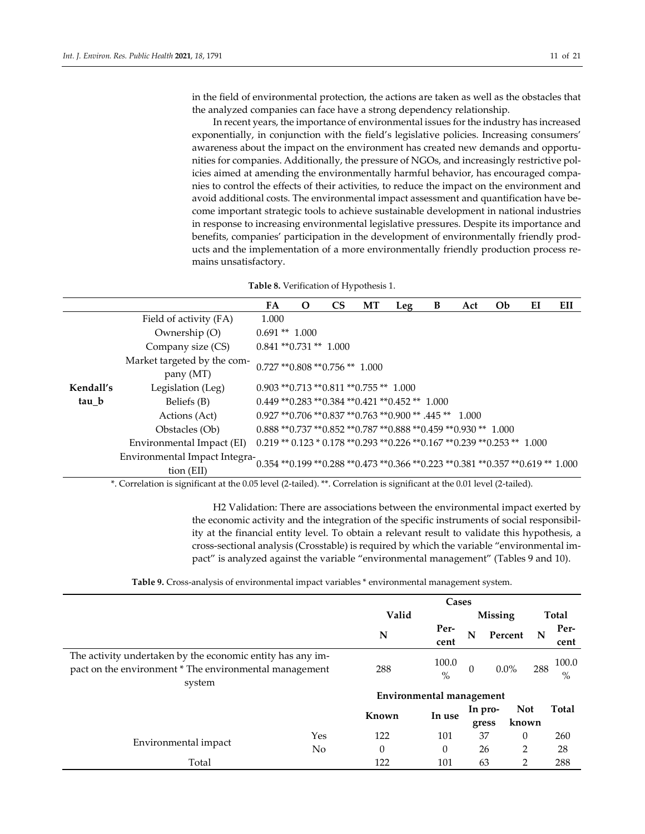in the field of environmental protection, the actions are taken as well as the obstacles that the analyzed companies can face have a strong dependency relationship.

In recent years, the importance of environmental issues for the industry has increased exponentially, in conjunction with the field's legislative policies. Increasing consumers' awareness about the impact on the environment has created new demands and opportunities for companies. Additionally, the pressure of NGOs, and increasingly restrictive policies aimed at amending the environmentally harmful behavior, has encouraged companies to control the effects of their activities, to reduce the impact on the environment and avoid additional costs. The environmental impact assessment and quantification have become important strategic tools to achieve sustainable development in national industries in response to increasing environmental legislative pressures. Despite its importance and benefits, companies' participation in the development of environmentally friendly products and the implementation of a more environmentally friendly production process remains unsatisfactory.

|  |  | Table 8. Verification of Hypothesis 1. |  |
|--|--|----------------------------------------|--|
|--|--|----------------------------------------|--|

|           |                                                                                                                           | FA                                                | $\mathbf O$ | <b>CS</b> | МT | Leg                                                                                  | B | Act | <b>Ob</b> | EI | EП |
|-----------|---------------------------------------------------------------------------------------------------------------------------|---------------------------------------------------|-------------|-----------|----|--------------------------------------------------------------------------------------|---|-----|-----------|----|----|
|           | Field of activity (FA)                                                                                                    | 1.000                                             |             |           |    |                                                                                      |   |     |           |    |    |
|           | Ownership (O)                                                                                                             | $0.691**1.000$                                    |             |           |    |                                                                                      |   |     |           |    |    |
|           | Company size (CS)                                                                                                         | $0.841$ ** $0.731$ ** 1.000                       |             |           |    |                                                                                      |   |     |           |    |    |
|           | Market targeted by the com-<br>pany (MT)                                                                                  | $0.727$ ** $0.808$ ** $0.756$ ** 1.000            |             |           |    |                                                                                      |   |     |           |    |    |
| Kendall's | Legislation (Leg)                                                                                                         | $0.903$ ** $0.713$ ** $0.811$ ** $0.755$ ** 1.000 |             |           |    |                                                                                      |   |     |           |    |    |
| tau b     | Beliefs (B)                                                                                                               |                                                   |             |           |    | $0.449$ ** $0.283$ ** $0.384$ ** $0.421$ ** $0.452$ ** $1.000$                       |   |     |           |    |    |
|           | Actions (Act)                                                                                                             |                                                   |             |           |    | $0.927$ ** $0.706$ ** $0.837$ ** $0.763$ ** $0.900$ ** $.445$ ** $-1.000$            |   |     |           |    |    |
|           | Obstacles (Ob)                                                                                                            |                                                   |             |           |    | $0.888$ ** $0.737$ ** $0.852$ ** $0.787$ ** $0.888$ ** $0.459$ ** $0.930$ ** $1.000$ |   |     |           |    |    |
|           | Environmental Impact (EI)                                                                                                 |                                                   |             |           |    | $0.219**0.123*0.178**0.293**0.226**0.167**0.239**0.253**1.000$                       |   |     |           |    |    |
|           | Environmental Impact Integra-0.354 **0.199 **0.288 **0.473 **0.366 **0.223 **0.381 **0.357 **0.619 ** 1.000<br>tion (EII) |                                                   |             |           |    |                                                                                      |   |     |           |    |    |

\*. Correlation is significant at the 0.05 level (2-tailed). \*\*. Correlation is significant at the 0.01 level (2-tailed).

H2 Validation: There are associations between the environmental impact exerted by the economic activity and the integration of the specific instruments of social responsibility at the financial entity level. To obtain a relevant result to validate this hypothesis, a cross-sectional analysis (Crosstable) is required by which the variable "environmental impact" is analyzed against the variable "environmental management" (Tables 9 and 10).

|  |  | Table 9. Cross-analysis of environmental impact variables * environmental management system |  |
|--|--|---------------------------------------------------------------------------------------------|--|
|--|--|---------------------------------------------------------------------------------------------|--|

|                                                            |     |                                 | $\omega$      |          |            |                      |       |
|------------------------------------------------------------|-----|---------------------------------|---------------|----------|------------|----------------------|-------|
|                                                            |     | Cases                           |               |          |            |                      |       |
|                                                            |     | Valid                           |               |          | Missing    |                      | Total |
|                                                            |     | N                               | Per-          | N        | Percent    | N                    | Per-  |
|                                                            |     |                                 | cent          |          |            |                      | cent  |
| The activity undertaken by the economic entity has any im- |     |                                 |               |          |            | 100.0<br>288<br>$\%$ |       |
| pact on the environment * The environmental management     |     | 288                             | 100.0<br>$\%$ | $\theta$ | $0.0\%$    |                      |       |
| system                                                     |     |                                 |               |          |            |                      |       |
|                                                            |     | <b>Environmental management</b> |               |          |            |                      |       |
|                                                            |     | Known                           |               | In pro-  | <b>Not</b> |                      | Total |
|                                                            |     |                                 | In use        | gress    | known      |                      |       |
|                                                            | Yes | 122                             | 101           | 37       | $\theta$   |                      | 260   |
| Environmental impact                                       | No  | $\theta$                        | $\theta$      | 26       | 2          |                      | 28    |
| Total                                                      |     | 122                             | 101           | 63       | 2          |                      | 288   |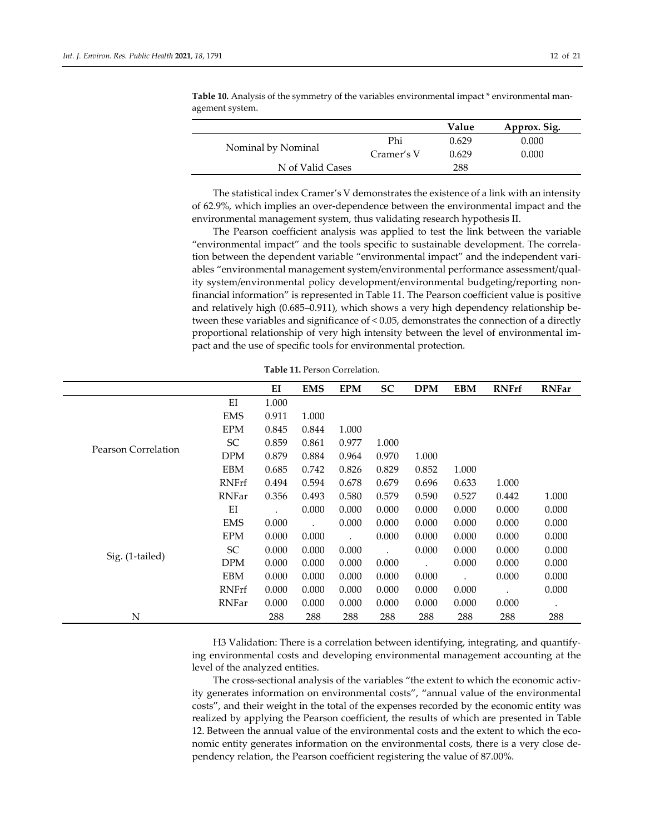|                    |            | Value | Approx. Sig. |
|--------------------|------------|-------|--------------|
|                    | Phi        | 0.629 | 0.000        |
| Nominal by Nominal | Cramer's V | 0.629 | 0.000        |
| N of Valid Cases   |            | 288   |              |
|                    |            |       |              |

**Table 10.** Analysis of the symmetry of the variables environmental impact \* environmental management system.

The statistical index Cramer's V demonstrates the existence of a link with an intensity of 62.9%, which implies an over-dependence between the environmental impact and the environmental management system, thus validating research hypothesis II.

The Pearson coefficient analysis was applied to test the link between the variable "environmental impact" and the tools specific to sustainable development. The correlation between the dependent variable "environmental impact" and the independent variables "environmental management system/environmental performance assessment/quality system/environmental policy development/environmental budgeting/reporting nonfinancial information" is represented in Table 11. The Pearson coefficient value is positive and relatively high (0.685–0.911), which shows a very high dependency relationship between these variables and significance of < 0.05, demonstrates the connection of a directly proportional relationship of very high intensity between the level of environmental impact and the use of specific tools for environmental protection.

|                            |              | EI    | <b>EMS</b> | <b>EPM</b> | SC    | <b>DPM</b>           | <b>EBM</b> | <b>RNFrf</b> | <b>RNFar</b> |
|----------------------------|--------------|-------|------------|------------|-------|----------------------|------------|--------------|--------------|
|                            | EI           | 1.000 |            |            |       |                      |            |              |              |
|                            | <b>EMS</b>   | 0.911 | 1.000      |            |       |                      |            |              |              |
|                            | <b>EPM</b>   | 0.845 | 0.844      | 1.000      |       |                      |            |              |              |
| <b>Pearson Correlation</b> | SC           | 0.859 | 0.861      | 0.977      | 1.000 |                      |            |              |              |
|                            | <b>DPM</b>   | 0.879 | 0.884      | 0.964      | 0.970 | 1.000                |            |              |              |
|                            | EBM          | 0.685 | 0.742      | 0.826      | 0.829 | 0.852                | 1.000      |              |              |
|                            | <b>RNFrf</b> | 0.494 | 0.594      | 0.678      | 0.679 | 0.696                | 0.633      | 1.000        |              |
|                            | RNFar        | 0.356 | 0.493      | 0.580      | 0.579 | 0.590                | 0.527      | 0.442        | 1.000        |
|                            | EI           |       | 0.000      | 0.000      | 0.000 | 0.000                | 0.000      | 0.000        | 0.000        |
|                            | <b>EMS</b>   | 0.000 |            | 0.000      | 0.000 | 0.000                | 0.000      | 0.000        | 0.000        |
|                            | <b>EPM</b>   | 0.000 | 0.000      |            | 0.000 | 0.000                | 0.000      | 0.000        | 0.000        |
|                            | SC           | 0.000 | 0.000      | 0.000      |       | 0.000                | 0.000      | 0.000        | 0.000        |
| Sig. (1-tailed)            | DPM          | 0.000 | 0.000      | 0.000      | 0.000 | $\ddot{\phantom{a}}$ | 0.000      | 0.000        | 0.000        |
|                            | EBM          | 0.000 | 0.000      | 0.000      | 0.000 | 0.000                |            | 0.000        | 0.000        |
|                            | RNFrf        | 0.000 | 0.000      | 0.000      | 0.000 | 0.000                | 0.000      |              | 0.000        |
|                            | RNFar        | 0.000 | 0.000      | 0.000      | 0.000 | 0.000                | 0.000      | 0.000        |              |
| N                          |              | 288   | 288        | 288        | 288   | 288                  | 288        | 288          | 288          |

**Table 11.** Person Correlation.

H3 Validation: There is a correlation between identifying, integrating, and quantifying environmental costs and developing environmental management accounting at the level of the analyzed entities.

The cross-sectional analysis of the variables "the extent to which the economic activity generates information on environmental costs", "annual value of the environmental costs", and their weight in the total of the expenses recorded by the economic entity was realized by applying the Pearson coefficient, the results of which are presented in Table 12. Between the annual value of the environmental costs and the extent to which the economic entity generates information on the environmental costs, there is a very close dependency relation, the Pearson coefficient registering the value of 87.00%.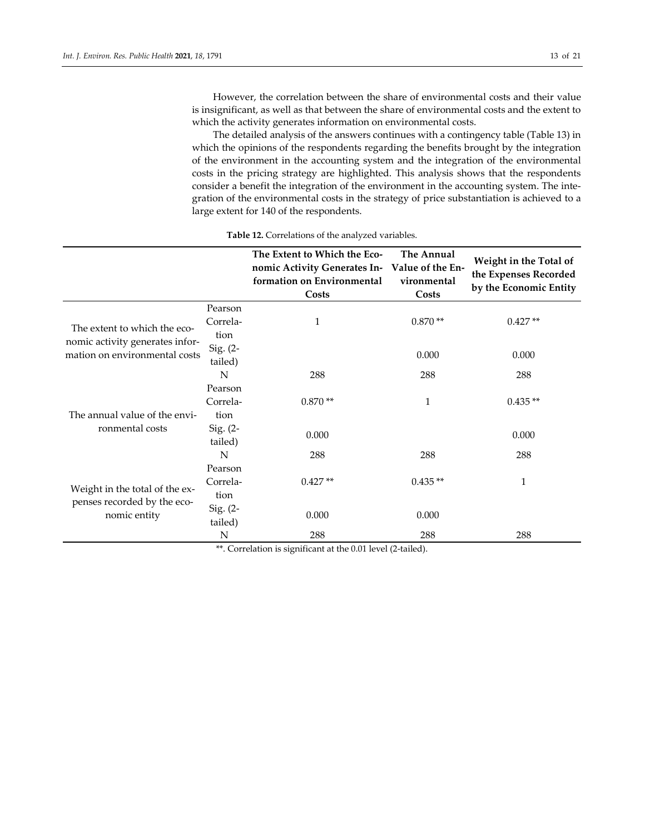However, the correlation between the share of environmental costs and their value is insignificant, as well as that between the share of environmental costs and the extent to which the activity generates information on environmental costs.

The detailed analysis of the answers continues with a contingency table (Table 13) in which the opinions of the respondents regarding the benefits brought by the integration of the environment in the accounting system and the integration of the environmental costs in the pricing strategy are highlighted. This analysis shows that the respondents consider a benefit the integration of the environment in the accounting system. The integration of the environmental costs in the strategy of price substantiation is achieved to a large extent for 140 of the respondents.

|                                                                  |                       | The Extent to Which the Eco-<br>nomic Activity Generates In- Value of the En-<br>formation on Environmental<br>Costs | <b>The Annual</b><br>vironmental<br>Costs | Weight in the Total of<br>the Expenses Recorded<br>by the Economic Entity |
|------------------------------------------------------------------|-----------------------|----------------------------------------------------------------------------------------------------------------------|-------------------------------------------|---------------------------------------------------------------------------|
|                                                                  | Pearson               |                                                                                                                      |                                           |                                                                           |
| The extent to which the eco-                                     | Correla-              | $\mathbf{1}$                                                                                                         | $0.870**$                                 | $0.427**$                                                                 |
| nomic activity generates infor-<br>mation on environmental costs | tion                  |                                                                                                                      |                                           |                                                                           |
|                                                                  | Sig. $(2-$<br>tailed) |                                                                                                                      | 0.000                                     | 0.000                                                                     |
|                                                                  | N                     | 288                                                                                                                  | 288                                       | 288                                                                       |
|                                                                  | Pearson               |                                                                                                                      |                                           |                                                                           |
|                                                                  | Correla-              | $0.870**$                                                                                                            | 1                                         | $0.435**$                                                                 |
| The annual value of the envi-                                    | tion                  |                                                                                                                      |                                           |                                                                           |
| ronmental costs                                                  | Sig. $(2-$<br>tailed) | 0.000                                                                                                                |                                           | 0.000                                                                     |
|                                                                  | N                     | 288                                                                                                                  | 288                                       | 288                                                                       |
|                                                                  | Pearson               |                                                                                                                      |                                           |                                                                           |
| Weight in the total of the ex-                                   | Correla-              | $0.427**$                                                                                                            | $0.435**$                                 | 1                                                                         |
|                                                                  | tion                  |                                                                                                                      |                                           |                                                                           |
| penses recorded by the eco-<br>nomic entity                      | Sig. $(2-$<br>tailed) | 0.000                                                                                                                | 0.000                                     |                                                                           |
|                                                                  | N                     | 288                                                                                                                  | 288                                       | 288                                                                       |

**Table 12.** Correlations of the analyzed variables.

\*\*. Correlation is significant at the 0.01 level (2-tailed).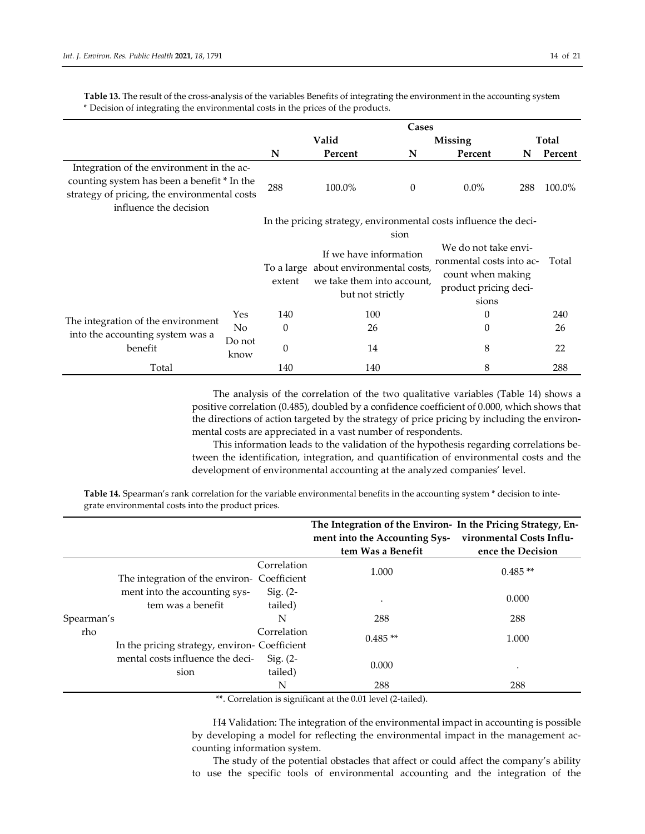|                                                                                                                                                                    |                |          |                                                                                                                   | Cases    |                                                                                                                                                                             |       |         |
|--------------------------------------------------------------------------------------------------------------------------------------------------------------------|----------------|----------|-------------------------------------------------------------------------------------------------------------------|----------|-----------------------------------------------------------------------------------------------------------------------------------------------------------------------------|-------|---------|
|                                                                                                                                                                    |                | Valid    |                                                                                                                   |          | Missing                                                                                                                                                                     | Total |         |
|                                                                                                                                                                    |                | N        | Percent                                                                                                           | N        | Percent                                                                                                                                                                     | N     | Percent |
| Integration of the environment in the ac-<br>counting system has been a benefit * In the<br>strategy of pricing, the environmental costs<br>influence the decision |                | 288      | 100.0%                                                                                                            | $\theta$ | $0.0\%$                                                                                                                                                                     | 288   | 100.0%  |
|                                                                                                                                                                    |                | extent   | If we have information<br>To a large about environmental costs,<br>we take them into account.<br>but not strictly | sion     | In the pricing strategy, environmental costs influence the deci-<br>We do not take envi-<br>ronmental costs into ac-<br>count when making<br>product pricing deci-<br>sions |       | Total   |
|                                                                                                                                                                    | Yes            | 140      | 100                                                                                                               |          | 0                                                                                                                                                                           |       | 240     |
| The integration of the environment                                                                                                                                 | N <sub>o</sub> | $\theta$ | 26                                                                                                                |          | $\theta$                                                                                                                                                                    |       | 26      |
| into the accounting system was a<br>benefit                                                                                                                        | Do not<br>know | $\theta$ | 14                                                                                                                |          | 8                                                                                                                                                                           |       | 22      |
| Total                                                                                                                                                              |                | 140      | 8<br>140                                                                                                          |          |                                                                                                                                                                             |       | 288     |

**Table 13.** The result of the cross-analysis of the variables Benefits of integrating the environment in the accounting system \* Decision of integrating the environmental costs in the prices of the products.

> The analysis of the correlation of the two qualitative variables (Table 14) shows a positive correlation (0.485), doubled by a confidence coefficient of 0.000, which shows that the directions of action targeted by the strategy of price pricing by including the environmental costs are appreciated in a vast number of respondents.

> This information leads to the validation of the hypothesis regarding correlations between the identification, integration, and quantification of environmental costs and the development of environmental accounting at the analyzed companies' level.

**Table 14.** Spearman's rank correlation for the variable environmental benefits in the accounting system \* decision to integrate environmental costs into the product prices.

|            |                                                    |                            | The Integration of the Environ- In the Pricing Strategy, En-<br>ment into the Accounting Sys-<br>tem Was a Benefit | vironmental Costs Influ-<br>ence the Decision |
|------------|----------------------------------------------------|----------------------------|--------------------------------------------------------------------------------------------------------------------|-----------------------------------------------|
|            | The integration of the environ-                    | Correlation<br>Coefficient | 1.000                                                                                                              | $0.485**$                                     |
|            | ment into the accounting sys-<br>tem was a benefit | Sig. $(2-$<br>tailed)      |                                                                                                                    | 0.000                                         |
| Spearman's |                                                    | N                          | 288                                                                                                                | 288                                           |
| rho        | In the pricing strategy, environ- Coefficient      | Correlation                | $0.485**$                                                                                                          | 1.000                                         |
|            | mental costs influence the deci-<br>sion           | Sig. $(2-$<br>tailed)      | 0.000                                                                                                              | $\bullet$                                     |
|            |                                                    | N                          | 288                                                                                                                | 288                                           |

\*\*. Correlation is significant at the 0.01 level (2-tailed).

H4 Validation: The integration of the environmental impact in accounting is possible by developing a model for reflecting the environmental impact in the management accounting information system.

The study of the potential obstacles that affect or could affect the company's ability to use the specific tools of environmental accounting and the integration of the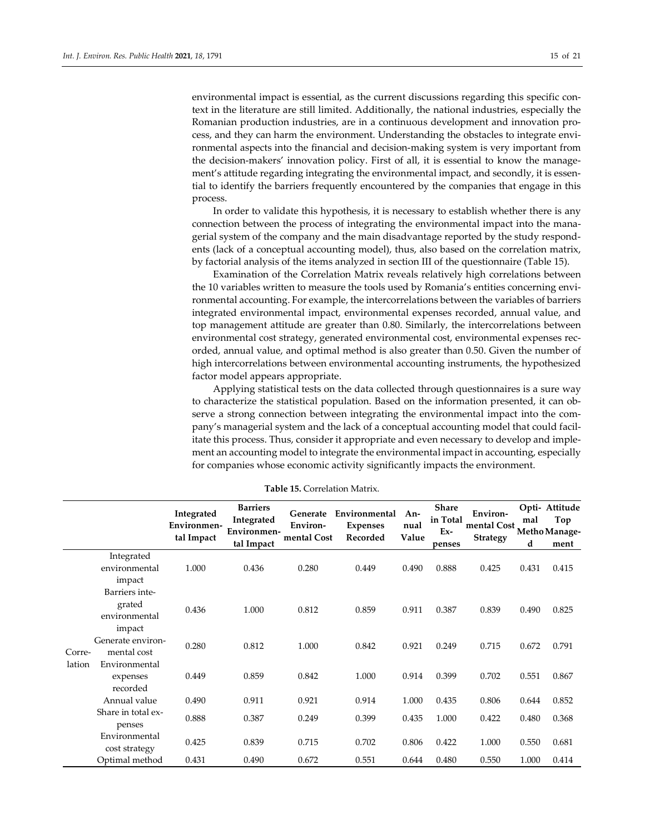environmental impact is essential, as the current discussions regarding this specific context in the literature are still limited. Additionally, the national industries, especially the Romanian production industries, are in a continuous development and innovation process, and they can harm the environment. Understanding the obstacles to integrate environmental aspects into the financial and decision-making system is very important from the decision-makers' innovation policy. First of all, it is essential to know the management's attitude regarding integrating the environmental impact, and secondly, it is essential to identify the barriers frequently encountered by the companies that engage in this process.

In order to validate this hypothesis, it is necessary to establish whether there is any connection between the process of integrating the environmental impact into the managerial system of the company and the main disadvantage reported by the study respondents (lack of a conceptual accounting model), thus, also based on the correlation matrix, by factorial analysis of the items analyzed in section III of the questionnaire (Table 15).

Examination of the Correlation Matrix reveals relatively high correlations between the 10 variables written to measure the tools used by Romania's entities concerning environmental accounting. For example, the intercorrelations between the variables of barriers integrated environmental impact, environmental expenses recorded, annual value, and top management attitude are greater than 0.80. Similarly, the intercorrelations between environmental cost strategy, generated environmental cost, environmental expenses recorded, annual value, and optimal method is also greater than 0.50. Given the number of high intercorrelations between environmental accounting instruments, the hypothesized factor model appears appropriate.

Applying statistical tests on the data collected through questionnaires is a sure way to characterize the statistical population. Based on the information presented, it can observe a strong connection between integrating the environmental impact into the company's managerial system and the lack of a conceptual accounting model that could facilitate this process. Thus, consider it appropriate and even necessary to develop and implement an accounting model to integrate the environmental impact in accounting, especially for companies whose economic activity significantly impacts the environment.

|        |                    | Integrated<br>Environmen-<br>tal Impact | <b>Barriers</b><br>Integrated<br>Environmen-<br>tal Impact | Generate<br>Environ-<br>mental Cost | Environmental<br><b>Expenses</b><br>Recorded | An-<br>nual<br>Value | <b>Share</b><br>in Total<br>$Ex-$<br>penses | Environ-<br>mental Cost Metho Manage-<br>Strategy | mal<br>d | Opti- Attitude<br>Top<br>ment |
|--------|--------------------|-----------------------------------------|------------------------------------------------------------|-------------------------------------|----------------------------------------------|----------------------|---------------------------------------------|---------------------------------------------------|----------|-------------------------------|
|        | Integrated         |                                         |                                                            |                                     |                                              |                      |                                             |                                                   |          |                               |
|        | environmental      | 1.000                                   | 0.436                                                      | 0.280                               | 0.449                                        | 0.490                | 0.888                                       | 0.425                                             | 0.431    | 0.415                         |
|        | impact             |                                         |                                                            |                                     |                                              |                      |                                             |                                                   |          |                               |
|        | Barriers inte-     |                                         |                                                            |                                     |                                              |                      |                                             |                                                   |          |                               |
|        | grated             | 0.436                                   | 1.000                                                      | 0.812                               | 0.859                                        | 0.911                | 0.387                                       | 0.839                                             | 0.490    | 0.825                         |
|        | environmental      |                                         |                                                            |                                     |                                              |                      |                                             |                                                   |          |                               |
|        | impact             |                                         |                                                            |                                     |                                              |                      |                                             |                                                   |          |                               |
|        | Generate environ-  | 0.280                                   | 0.812                                                      | 1.000                               | 0.842                                        | 0.921                | 0.249                                       | 0.715                                             | 0.672    | 0.791                         |
| Corre- | mental cost        |                                         |                                                            |                                     |                                              |                      |                                             |                                                   |          |                               |
| lation | Environmental      |                                         |                                                            |                                     |                                              |                      |                                             |                                                   |          |                               |
|        | expenses           | 0.449                                   | 0.859                                                      | 0.842                               | 1.000                                        | 0.914                | 0.399                                       | 0.702                                             | 0.551    | 0.867                         |
|        | recorded           |                                         |                                                            |                                     |                                              |                      |                                             |                                                   |          |                               |
|        | Annual value       | 0.490                                   | 0.911                                                      | 0.921                               | 0.914                                        | 1.000                | 0.435                                       | 0.806                                             | 0.644    | 0.852                         |
|        | Share in total ex- | 0.888                                   | 0.387                                                      | 0.249                               | 0.399                                        | 0.435                | 1.000                                       | 0.422                                             | 0.480    | 0.368                         |
|        | penses             |                                         |                                                            |                                     |                                              |                      |                                             |                                                   |          |                               |
|        | Environmental      | 0.425                                   | 0.839                                                      | 0.715                               | 0.702                                        | 0.806                | 0.422                                       | 1.000                                             | 0.550    | 0.681                         |
|        | cost strategy      |                                         |                                                            |                                     |                                              |                      |                                             |                                                   |          |                               |
|        | Optimal method     | 0.431                                   | 0.490                                                      | 0.672                               | 0.551                                        | 0.644                | 0.480                                       | 0.550                                             | 1.000    | 0.414                         |

**Table 15.** Correlation Matrix.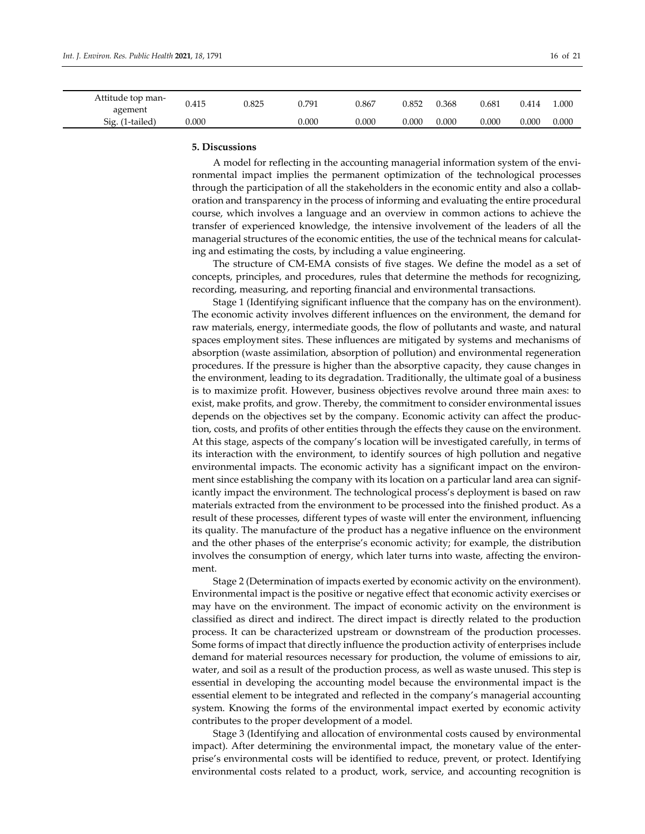| Attitude top man-<br>agement | 0.415 | 0.825 | 0.791 | 0.867 | 0.852 | 0.368 | 0.681 | 0.414 | l.000 |
|------------------------------|-------|-------|-------|-------|-------|-------|-------|-------|-------|
| Sig. (1-tailed)              | 0.000 |       | 0.000 | 0.000 | 0.000 | 0.000 | 0.000 | 0.000 | 0.000 |

#### **5. Discussions**

A model for reflecting in the accounting managerial information system of the environmental impact implies the permanent optimization of the technological processes through the participation of all the stakeholders in the economic entity and also a collaboration and transparency in the process of informing and evaluating the entire procedural course, which involves a language and an overview in common actions to achieve the transfer of experienced knowledge, the intensive involvement of the leaders of all the managerial structures of the economic entities, the use of the technical means for calculating and estimating the costs, by including a value engineering.

The structure of CM-EMA consists of five stages. We define the model as a set of concepts, principles, and procedures, rules that determine the methods for recognizing, recording, measuring, and reporting financial and environmental transactions.

Stage 1 (Identifying significant influence that the company has on the environment). The economic activity involves different influences on the environment, the demand for raw materials, energy, intermediate goods, the flow of pollutants and waste, and natural spaces employment sites. These influences are mitigated by systems and mechanisms of absorption (waste assimilation, absorption of pollution) and environmental regeneration procedures. If the pressure is higher than the absorptive capacity, they cause changes in the environment, leading to its degradation. Traditionally, the ultimate goal of a business is to maximize profit. However, business objectives revolve around three main axes: to exist, make profits, and grow. Thereby, the commitment to consider environmental issues depends on the objectives set by the company. Economic activity can affect the production, costs, and profits of other entities through the effects they cause on the environment. At this stage, aspects of the company's location will be investigated carefully, in terms of its interaction with the environment, to identify sources of high pollution and negative environmental impacts. The economic activity has a significant impact on the environment since establishing the company with its location on a particular land area can significantly impact the environment. The technological process's deployment is based on raw materials extracted from the environment to be processed into the finished product. As a result of these processes, different types of waste will enter the environment, influencing its quality. The manufacture of the product has a negative influence on the environment and the other phases of the enterprise's economic activity; for example, the distribution involves the consumption of energy, which later turns into waste, affecting the environment.

Stage 2 (Determination of impacts exerted by economic activity on the environment). Environmental impact is the positive or negative effect that economic activity exercises or may have on the environment. The impact of economic activity on the environment is classified as direct and indirect. The direct impact is directly related to the production process. It can be characterized upstream or downstream of the production processes. Some forms of impact that directly influence the production activity of enterprises include demand for material resources necessary for production, the volume of emissions to air, water, and soil as a result of the production process, as well as waste unused. This step is essential in developing the accounting model because the environmental impact is the essential element to be integrated and reflected in the company's managerial accounting system. Knowing the forms of the environmental impact exerted by economic activity contributes to the proper development of a model.

Stage 3 (Identifying and allocation of environmental costs caused by environmental impact). After determining the environmental impact, the monetary value of the enterprise's environmental costs will be identified to reduce, prevent, or protect. Identifying environmental costs related to a product, work, service, and accounting recognition is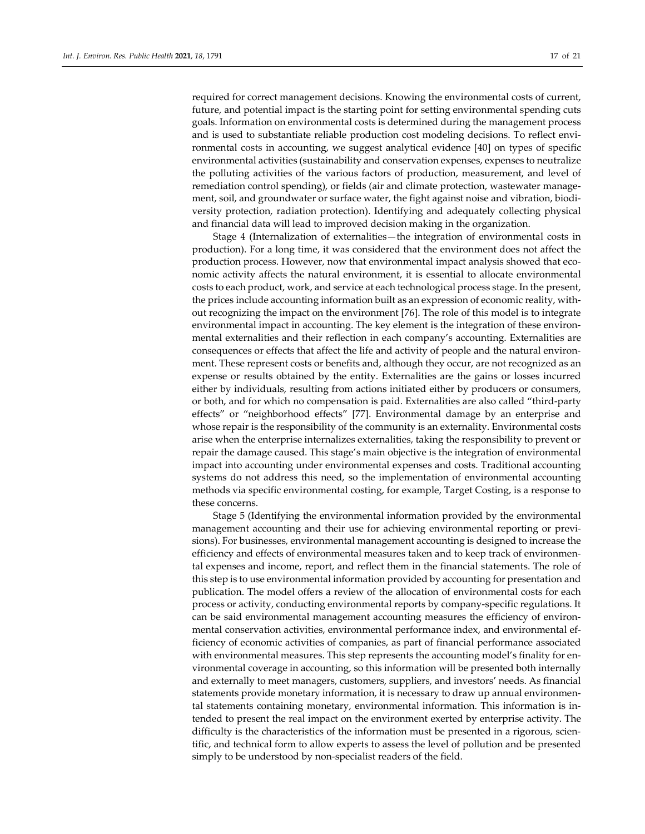required for correct management decisions. Knowing the environmental costs of current, future, and potential impact is the starting point for setting environmental spending cuts goals. Information on environmental costs is determined during the management process and is used to substantiate reliable production cost modeling decisions. To reflect environmental costs in accounting, we suggest analytical evidence [40] on types of specific environmental activities (sustainability and conservation expenses, expenses to neutralize the polluting activities of the various factors of production, measurement, and level of remediation control spending), or fields (air and climate protection, wastewater management, soil, and groundwater or surface water, the fight against noise and vibration, biodiversity protection, radiation protection). Identifying and adequately collecting physical and financial data will lead to improved decision making in the organization.

Stage 4 (Internalization of externalities—the integration of environmental costs in production). For a long time, it was considered that the environment does not affect the production process. However, now that environmental impact analysis showed that economic activity affects the natural environment, it is essential to allocate environmental costs to each product, work, and service at each technological process stage. In the present, the prices include accounting information built as an expression of economic reality, without recognizing the impact on the environment [76]. The role of this model is to integrate environmental impact in accounting. The key element is the integration of these environmental externalities and their reflection in each company's accounting. Externalities are consequences or effects that affect the life and activity of people and the natural environment. These represent costs or benefits and, although they occur, are not recognized as an expense or results obtained by the entity. Externalities are the gains or losses incurred either by individuals, resulting from actions initiated either by producers or consumers, or both, and for which no compensation is paid. Externalities are also called "third-party effects" or "neighborhood effects" [77]. Environmental damage by an enterprise and whose repair is the responsibility of the community is an externality. Environmental costs arise when the enterprise internalizes externalities, taking the responsibility to prevent or repair the damage caused. This stage's main objective is the integration of environmental impact into accounting under environmental expenses and costs. Traditional accounting systems do not address this need, so the implementation of environmental accounting methods via specific environmental costing, for example, Target Costing, is a response to these concerns.

Stage 5 (Identifying the environmental information provided by the environmental management accounting and their use for achieving environmental reporting or previsions). For businesses, environmental management accounting is designed to increase the efficiency and effects of environmental measures taken and to keep track of environmental expenses and income, report, and reflect them in the financial statements. The role of this step is to use environmental information provided by accounting for presentation and publication. The model offers a review of the allocation of environmental costs for each process or activity, conducting environmental reports by company-specific regulations. It can be said environmental management accounting measures the efficiency of environmental conservation activities, environmental performance index, and environmental efficiency of economic activities of companies, as part of financial performance associated with environmental measures. This step represents the accounting model's finality for environmental coverage in accounting, so this information will be presented both internally and externally to meet managers, customers, suppliers, and investors' needs. As financial statements provide monetary information, it is necessary to draw up annual environmental statements containing monetary, environmental information. This information is intended to present the real impact on the environment exerted by enterprise activity. The difficulty is the characteristics of the information must be presented in a rigorous, scientific, and technical form to allow experts to assess the level of pollution and be presented simply to be understood by non-specialist readers of the field.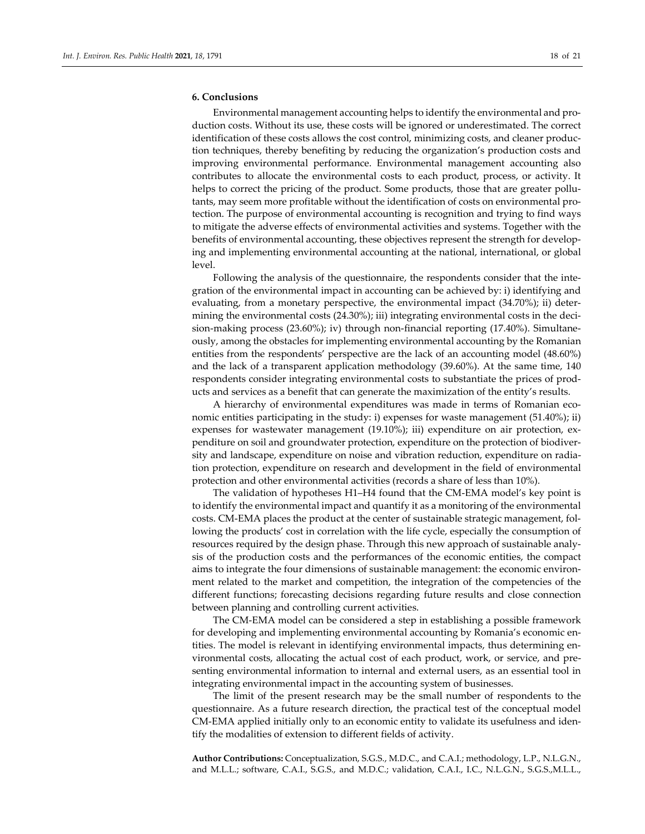## **6. Conclusions**

Environmental management accounting helps to identify the environmental and production costs. Without its use, these costs will be ignored or underestimated. The correct identification of these costs allows the cost control, minimizing costs, and cleaner production techniques, thereby benefiting by reducing the organization's production costs and improving environmental performance. Environmental management accounting also contributes to allocate the environmental costs to each product, process, or activity. It helps to correct the pricing of the product. Some products, those that are greater pollutants, may seem more profitable without the identification of costs on environmental protection. The purpose of environmental accounting is recognition and trying to find ways to mitigate the adverse effects of environmental activities and systems. Together with the benefits of environmental accounting, these objectives represent the strength for developing and implementing environmental accounting at the national, international, or global level.

Following the analysis of the questionnaire, the respondents consider that the integration of the environmental impact in accounting can be achieved by: i) identifying and evaluating, from a monetary perspective, the environmental impact (34.70%); ii) determining the environmental costs (24.30%); iii) integrating environmental costs in the decision-making process (23.60%); iv) through non-financial reporting (17.40%). Simultaneously, among the obstacles for implementing environmental accounting by the Romanian entities from the respondents' perspective are the lack of an accounting model (48.60%) and the lack of a transparent application methodology (39.60%). At the same time, 140 respondents consider integrating environmental costs to substantiate the prices of products and services as a benefit that can generate the maximization of the entity's results.

A hierarchy of environmental expenditures was made in terms of Romanian economic entities participating in the study: i) expenses for waste management (51.40%); ii) expenses for wastewater management (19.10%); iii) expenditure on air protection, expenditure on soil and groundwater protection, expenditure on the protection of biodiversity and landscape, expenditure on noise and vibration reduction, expenditure on radiation protection, expenditure on research and development in the field of environmental protection and other environmental activities (records a share of less than 10%).

The validation of hypotheses H1–H4 found that the CM-EMA model's key point is to identify the environmental impact and quantify it as a monitoring of the environmental costs. CM-EMA places the product at the center of sustainable strategic management, following the products' cost in correlation with the life cycle, especially the consumption of resources required by the design phase. Through this new approach of sustainable analysis of the production costs and the performances of the economic entities, the compact aims to integrate the four dimensions of sustainable management: the economic environment related to the market and competition, the integration of the competencies of the different functions; forecasting decisions regarding future results and close connection between planning and controlling current activities.

The CM-EMA model can be considered a step in establishing a possible framework for developing and implementing environmental accounting by Romania's economic entities. The model is relevant in identifying environmental impacts, thus determining environmental costs, allocating the actual cost of each product, work, or service, and presenting environmental information to internal and external users, as an essential tool in integrating environmental impact in the accounting system of businesses.

The limit of the present research may be the small number of respondents to the questionnaire. As a future research direction, the practical test of the conceptual model CM-EMA applied initially only to an economic entity to validate its usefulness and identify the modalities of extension to different fields of activity.

**Author Contributions:** Conceptualization, S.G.S., M.D.C., and C.A.I.; methodology, L.P., N.L.G.N., and M.L.L.; software, C.A.I., S.G.S., and M.D.C.; validation, C.A.I., I.C., N.L.G.N., S.G.S.,M.L.L.,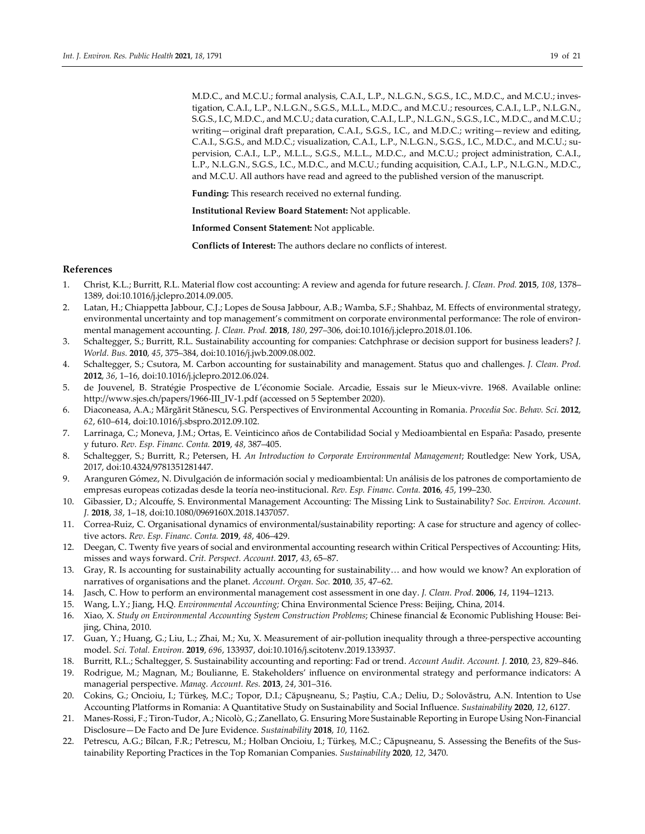M.D.C., and M.C.U.; formal analysis, C.A.I., L.P., N.L.G.N., S.G.S., I.C., M.D.C., and M.C.U.; investigation, C.A.I., L.P., N.L.G.N., S.G.S., M.L.L., M.D.C., and M.C.U.; resources, C.A.I., L.P., N.L.G.N., S.G.S., I.C, M.D.C., and M.C.U.; data curation, C.A.I., L.P., N.L.G.N., S.G.S., I.C., M.D.C., and M.C.U.; writing—original draft preparation, C.A.I., S.G.S., I.C., and M.D.C.; writing—review and editing, C.A.I., S.G.S., and M.D.C.; visualization, C.A.I., L.P., N.L.G.N., S.G.S., I.C., M.D.C., and M.C.U.; supervision, C.A.I., L.P., M.L.L., S.G.S., M.L.L., M.D.C., and M.C.U.; project administration, C.A.I., L.P., N.L.G.N., S.G.S., I.C., M.D.C., and M.C.U.; funding acquisition, C.A.I., L.P., N.L.G.N., M.D.C., and M.C.U. All authors have read and agreed to the published version of the manuscript.

**Funding:** This research received no external funding.

**Institutional Review Board Statement:** Not applicable.

**Informed Consent Statement:** Not applicable.

**Conflicts of Interest:** The authors declare no conflicts of interest.

#### **References**

- 1. Christ, K.L.; Burritt, R.L. Material flow cost accounting: A review and agenda for future research. *J. Clean. Prod.* **2015**, *108*, 1378– 1389, doi:10.1016/j.jclepro.2014.09.005.
- 2. Latan, H.; Chiappetta Jabbour, C.J.; Lopes de Sousa Jabbour, A.B.; Wamba, S.F.; Shahbaz, M. Effects of environmental strategy, environmental uncertainty and top management's commitment on corporate environmental performance: The role of environmental management accounting. *J. Clean. Prod.* **2018**, *180*, 297–306, doi:10.1016/j.jclepro.2018.01.106.
- 3. Schaltegger, S.; Burritt, R.L. Sustainability accounting for companies: Catchphrase or decision support for business leaders? *J. World. Bus.* **2010**, *45*, 375–384, doi:10.1016/j.jwb.2009.08.002.
- 4. Schaltegger, S.; Csutora, M. Carbon accounting for sustainability and management. Status quo and challenges. *J. Clean. Prod.*  **2012**, *36*, 1–16, doi:10.1016/j.jclepro.2012.06.024.
- 5. de Jouvenel, B. Stratégie Prospective de L'économie Sociale. Arcadie, Essais sur le Mieux-vivre. 1968. Available online: http://www.sjes.ch/papers/1966-III\_IV-1.pdf (accessed on 5 September 2020).
- 6. Diaconeasa, A.A.; Mărgărit Stănescu, S.G. Perspectives of Environmental Accounting in Romania. *Procedia Soc. Behav. Sci.* **2012**, *62*, 610–614, doi:10.1016/j.sbspro.2012.09.102.
- 7. Larrinaga, C.; Moneva, J.M.; Ortas, E. Veinticinco años de Contabilidad Social y Medioambiental en España: Pasado, presente y futuro. *Rev. Esp. Financ. Conta.* **2019**, *48*, 387–405.
- 8. Schaltegger, S.; Burritt, R.; Petersen, H. *An Introduction to Corporate Environmental Management*; Routledge: New York, USA, 2017, doi:10.4324/9781351281447.
- 9. Aranguren Gómez, N. Divulgación de información social y medioambiental: Un análisis de los patrones de comportamiento de empresas europeas cotizadas desde la teoría neo-institucional. *Rev. Esp. Financ. Conta.* **2016**, *45*, 199–230.
- 10. Gibassier, D.; Alcouffe, S. Environmental Management Accounting: The Missing Link to Sustainability? *Soc. Environ. Account. J.* **2018**, *38*, 1–18, doi:10.1080/0969160X.2018.1437057.
- 11. Correa-Ruiz, C. Organisational dynamics of environmental/sustainability reporting: A case for structure and agency of collective actors. *Rev. Esp. Financ. Conta.* **2019**, *48*, 406–429.
- 12. Deegan, C. Twenty five years of social and environmental accounting research within Critical Perspectives of Accounting: Hits, misses and ways forward. *Crit. Perspect. Account.* **2017**, *43*, 65–87.
- 13. Gray, R. Is accounting for sustainability actually accounting for sustainability… and how would we know? An exploration of narratives of organisations and the planet. *Account. Organ. Soc.* **2010**, *35*, 47–62.
- 14. Jasch, C. How to perform an environmental management cost assessment in one day. *J. Clean. Prod.* **2006**, *14*, 1194–1213.
- 15. Wang, L.Y.; Jiang, H.Q. *Environmental Accounting;* China Environmental Science Press: Beijing, China, 2014.
- 16. Xiao, X. *Study on Environmental Accounting System Construction Problems*; Chinese financial & Economic Publishing House: Beijing, China, 2010.
- 17. Guan, Y.; Huang, G.; Liu, L.; Zhai, M.; Xu, X. Measurement of air-pollution inequality through a three-perspective accounting model. *Sci. Total. Environ.* **2019**, *696*, 133937, doi:10.1016/j.scitotenv.2019.133937.
- 18. Burritt, R.L.; Schaltegger, S. Sustainability accounting and reporting: Fad or trend. *Account Audit. Account. J.* **2010**, *23*, 829–846.
- 19. Rodrigue, M.; Magnan, M.; Boulianne, E. Stakeholders' influence on environmental strategy and performance indicators: A managerial perspective. *Manag. Account. Res.* **2013**, *24*, 301–316.
- 20. Cokins, G.; Oncioiu, I.; Türkeș, M.C.; Topor, D.I.; Căpuşneanu, S.; Paștiu, C.A.; Deliu, D.; Solovăstru, A.N. Intention to Use Accounting Platforms in Romania: A Quantitative Study on Sustainability and Social Influence. *Sustainability* **2020**, *12*, 6127.
- 21. Manes-Rossi, F.; Tiron-Tudor, A.; Nicolò, G.; Zanellato, G. Ensuring More Sustainable Reporting in Europe Using Non-Financial Disclosure—De Facto and De Jure Evidence. *Sustainability* **2018**, *10*, 1162.
- 22. Petrescu, A.G.; Bîlcan, F.R.; Petrescu, M.; Holban Oncioiu, I.; Türkeș, M.C.; Căpuşneanu, S. Assessing the Benefits of the Sustainability Reporting Practices in the Top Romanian Companies. *Sustainability* **2020**, *12*, 3470.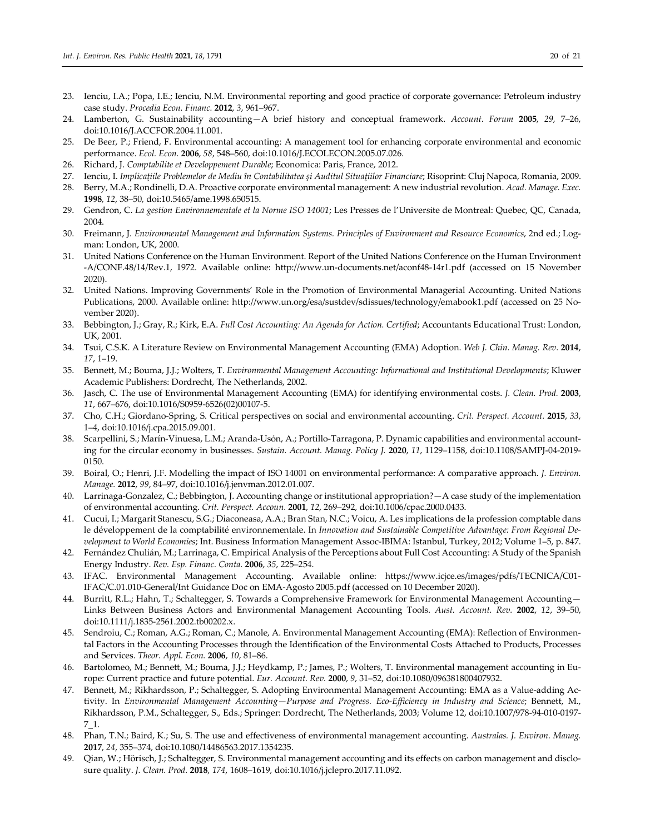- 23. Ienciu, I.A.; Popa, I.E.; Ienciu, N.M. Environmental reporting and good practice of corporate governance: Petroleum industry case study. *Procedia Econ. Financ.* **2012**, *3*, 961–967.
- 24. Lamberton, G. Sustainability accounting—A brief history and conceptual framework. *Account. Forum* **2005**, *29*, 7–26, doi:10.1016/J.ACCFOR.2004.11.001.
- 25. De Beer, P.; Friend, F. Environmental accounting: A management tool for enhancing corporate environmental and economic performance. *Ecol. Econ.* **2006**, *58*, 548–560, doi:10.1016/J.ECOLECON.2005.07.026.
- 26. Richard, J. *Comptabilite et Developpement Durable*; Economica: Paris, France, 2012.
- 27. Ienciu, I. *Implicaţiile Problemelor de Mediu în Contabilitatea şi Auditul Situaţiilor Financiare*; Risoprint: Cluj Napoca, Romania, 2009.
- 28. Berry, M.A.; Rondinelli, D.A. Proactive corporate environmental management: A new industrial revolution. *Acad. Manage. Exec.* **1998**, *12*, 38–50, doi:10.5465/ame.1998.650515.
- 29. Gendron, C. *La gestion Environnementale et la Norme ISO 14001*; Les Presses de l'Universite de Montreal: Quebec, QC, Canada, 2004.
- 30. Freimann, J. *Environmental Management and Information Systems. Principles of Environment and Resource Economics*, 2nd ed.; Logman: London, UK, 2000.
- 31. United Nations Conference on the Human Environment. Report of the United Nations Conference on the Human Environment -A/CONF.48/14/Rev.1, 1972. Available online: http://www.un-documents.net/aconf48-14r1.pdf (accessed on 15 November 2020).
- 32. United Nations. Improving Governments' Role in the Promotion of Environmental Managerial Accounting. United Nations Publications, 2000. Available online: http://www.un.org/esa/sustdev/sdissues/technology/emabook1.pdf (accessed on 25 November 2020).
- 33. Bebbington, J.; Gray, R.; Kirk, E.A. *Full Cost Accounting: An Agenda for Action. Certified*; Accountants Educational Trust: London, UK, 2001.
- 34. Tsui, C.S.K. A Literature Review on Environmental Management Accounting (EMA) Adoption. *Web J. Chin. Manag. Rev.* **2014**, *17*, 1–19.
- 35. Bennett, M.; Bouma, J.J.; Wolters, T. *Environmental Management Accounting: Informational and Institutional Developments*; Kluwer Academic Publishers: Dordrecht, The Netherlands, 2002.
- 36. Jasch, C. The use of Environmental Management Accounting (EMA) for identifying environmental costs. *J. Clean. Prod.* **2003**, *11*, 667–676, doi:10.1016/S0959-6526(02)00107-5.
- 37. Cho, C.H.; Giordano-Spring, S. Critical perspectives on social and environmental accounting. *Crit. Perspect. Account.* **2015**, *33*, 1–4, doi:10.1016/j.cpa.2015.09.001.
- 38. Scarpellini, S.; Marín-Vinuesa, L.M.; Aranda-Usón, A.; Portillo-Tarragona, P. Dynamic capabilities and environmental accounting for the circular economy in businesses. *Sustain. Account. Manag. Policy J.* **2020**, *11*, 1129–1158, doi:10.1108/SAMPJ-04-2019- 0150.
- 39. Boiral, O.; Henri, J.F. Modelling the impact of ISO 14001 on environmental performance: A comparative approach. *J. Environ. Manage.* **2012**, *99*, 84–97, doi:10.1016/j.jenvman.2012.01.007.
- 40. Larrinaga-Gonzalez, C.; Bebbington, J. Accounting change or institutional appropriation?—A case study of the implementation of environmental accounting. *Crit. Perspect. Accoun.* **2001**, *12*, 269–292, doi:10.1006/cpac.2000.0433.
- 41. Cucui, I.; Margarit Stanescu, S.G.; Diaconeasa, A.A.; Bran Stan, N.C.; Voicu, A. Les implications de la profession comptable dans le développement de la comptabilité environnementale. In *Innovation and Sustainable Competitive Advantage: From Regional Development to World Economies*; Int. Business Information Management Assoc-IBIMA: Istanbul, Turkey, 2012; Volume 1–5, p. 847.
- 42. Fernández Chulián, M.; Larrinaga, C. Empirical Analysis of the Perceptions about Full Cost Accounting: A Study of the Spanish Energy Industry. *Rev. Esp. Financ. Conta.* **2006**, *35*, 225–254.
- 43. IFAC. Environmental Management Accounting. Available online: https://www.icjce.es/images/pdfs/TECNICA/C01- IFAC/C.01.010-General/Int Guidance Doc on EMA-Agosto 2005.pdf (accessed on 10 December 2020).
- 44. Burritt, R.L.; Hahn, T.; Schaltegger, S. Towards a Comprehensive Framework for Environmental Management Accounting— Links Between Business Actors and Environmental Management Accounting Tools. *Aust. Account. Rev.* **2002**, *12*, 39–50, doi:10.1111/j.1835-2561.2002.tb00202.x.
- 45. Sendroiu, C.; Roman, A.G.; Roman, C.; Manole, A. Environmental Management Accounting (EMA): Reflection of Environmental Factors in the Accounting Processes through the Identification of the Environmental Costs Attached to Products, Processes and Services. *Theor. Appl. Econ.* **2006**, *10*, 81–86.
- 46. Bartolomeo, M.; Bennett, M.; Bouma, J.J.; Heydkamp, P.; James, P.; Wolters, T. Environmental management accounting in Europe: Current practice and future potential. *Eur. Account. Rev.* **2000**, *9*, 31–52, doi:10.1080/096381800407932.
- 47. Bennett, M.; Rikhardsson, P.; Schaltegger, S. Adopting Environmental Management Accounting: EMA as a Value-adding Activity. In *Environmental Management Accounting—Purpose and Progress. Eco-Efficiency in Industry and Science*; Bennett, M., Rikhardsson, P.M., Schaltegger, S., Eds.; Springer: Dordrecht, The Netherlands, 2003; Volume 12, doi:10.1007/978-94-010-0197- 7\_1.
- 48. Phan, T.N.; Baird, K.; Su, S. The use and effectiveness of environmental management accounting. *Australas. J. Environ. Manag.* **2017**, *24*, 355–374, doi:10.1080/14486563.2017.1354235.
- 49. Qian, W.; Hörisch, J.; Schaltegger, S. Environmental management accounting and its effects on carbon management and disclosure quality. *J. Clean. Prod.* **2018**, *174*, 1608–1619, doi:10.1016/j.jclepro.2017.11.092.